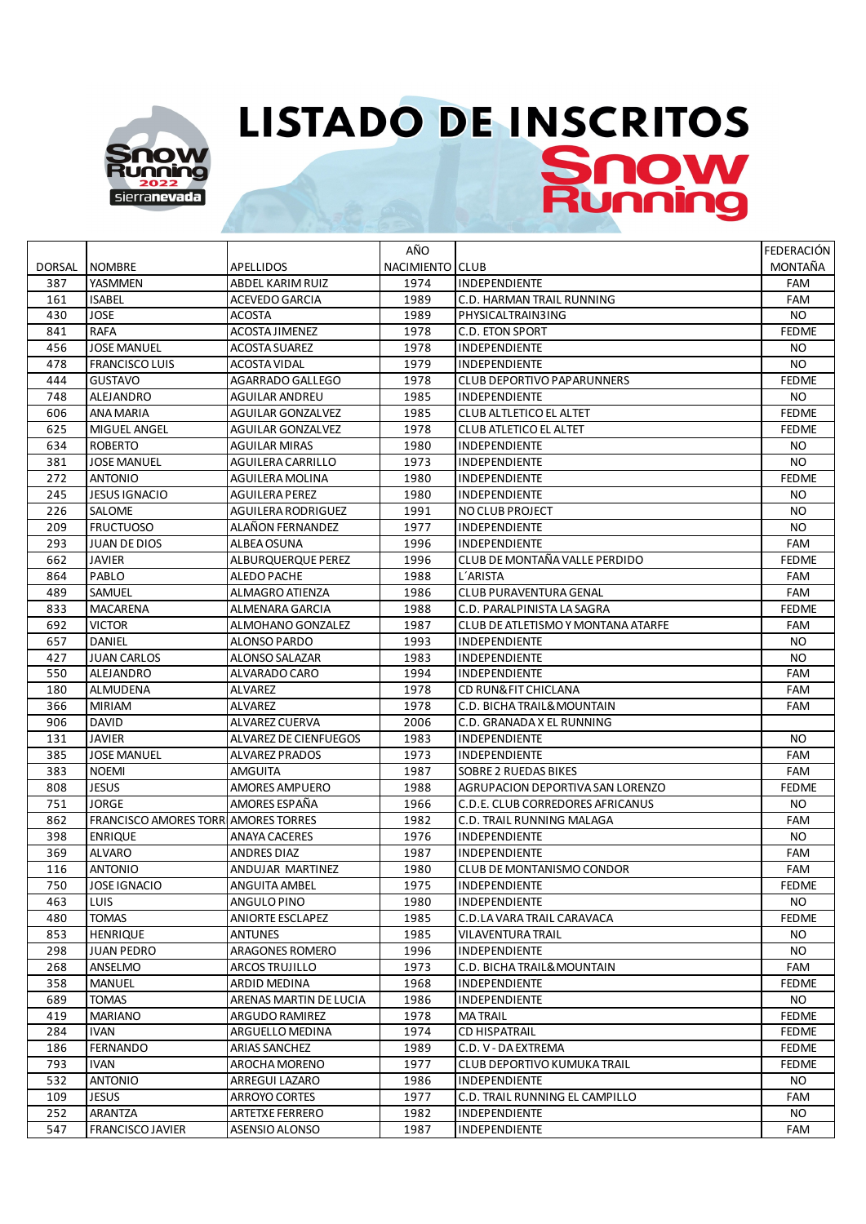

## **LISTADO DE INSCRITOS** Snow

|               |                                             |                          | AÑO             |                                    | <b>FEDERACIÓN</b> |
|---------------|---------------------------------------------|--------------------------|-----------------|------------------------------------|-------------------|
| <b>DORSAL</b> | <b>NOMBRE</b>                               | <b>APELLIDOS</b>         | NACIMIENTO CLUB |                                    | MONTAÑA           |
| 387           | YASMMEN                                     | ABDEL KARIM RUIZ         | 1974            | <b>INDEPENDIENTE</b>               | <b>FAM</b>        |
| 161           | <b>ISABEL</b>                               | ACEVEDO GARCIA           | 1989            | C.D. HARMAN TRAIL RUNNING          | FAM               |
| 430           | <b>JOSE</b>                                 | <b>ACOSTA</b>            | 1989            | PHYSICALTRAIN3ING                  | NO.               |
| 841           | <b>RAFA</b>                                 | ACOSTA JIMENEZ           | 1978            | <b>C.D. ETON SPORT</b>             | <b>FEDME</b>      |
| 456           | <b>JOSE MANUEL</b>                          | ACOSTA SUAREZ            | 1978            | <b>INDEPENDIENTE</b>               | NO.               |
| 478           | <b>FRANCISCO LUIS</b>                       | ACOSTA VIDAL             | 1979            | <b>INDEPENDIENTE</b>               | NO.               |
| 444           | <b>GUSTAVO</b>                              | AGARRADO GALLEGO         | 1978            | <b>CLUB DEPORTIVO PAPARUNNERS</b>  | <b>FEDME</b>      |
| 748           | ALEJANDRO                                   | AGUILAR ANDREU           | 1985            | <b>INDEPENDIENTE</b>               | NO.               |
| 606           | ANA MARIA                                   | <b>AGUILAR GONZALVEZ</b> | 1985            | CLUB ALTLETICO EL ALTET            | <b>FEDME</b>      |
| 625           | MIGUEL ANGEL                                | <b>AGUILAR GONZALVEZ</b> | 1978            | <b>CLUB ATLETICO EL ALTET</b>      | <b>FEDME</b>      |
| 634           | <b>ROBERTO</b>                              | AGUILAR MIRAS            | 1980            | <b>INDEPENDIENTE</b>               | NO.               |
| 381           | <b>JOSE MANUEL</b>                          | AGUILERA CARRILLO        | 1973            | <b>INDEPENDIENTE</b>               | NO.               |
| 272           | <b>ANTONIO</b>                              | AGUILERA MOLINA          | 1980            | <b>INDEPENDIENTE</b>               | <b>FEDME</b>      |
| 245           | <b>JESUS IGNACIO</b>                        | AGUILERA PEREZ           | 1980            | <b>INDEPENDIENTE</b>               | NO.               |
| 226           | SALOME                                      | AGUILERA RODRIGUEZ       | 1991            | <b>NO CLUB PROJECT</b>             | NO.               |
| 209           | <b>FRUCTUOSO</b>                            | ALAÑON FERNANDEZ         | 1977            | <b>INDEPENDIENTE</b>               | NO.               |
| 293           | JUAN DE DIOS                                | ALBEA OSUNA              | 1996            | <b>INDEPENDIENTE</b>               | FAM               |
| 662           | <b>JAVIER</b>                               | ALBURQUERQUE PEREZ       | 1996            | CLUB DE MONTAÑA VALLE PERDIDO      | <b>FEDME</b>      |
| 864           | PABLO                                       | ALEDO PACHE              | 1988            | L'ARISTA                           | FAM               |
| 489           | SAMUEL                                      | ALMAGRO ATIENZA          | 1986            | CLUB PURAVENTURA GENAL             | FAM               |
| 833           | MACARENA                                    | ALMENARA GARCIA          | 1988            | C.D. PARALPINISTA LA SAGRA         | <b>FEDME</b>      |
| 692           | VICTOR                                      | ALMOHANO GONZALEZ        | 1987            | CLUB DE ATLETISMO Y MONTANA ATARFE | <b>FAM</b>        |
| 657           | DANIEL                                      | <b>ALONSO PARDO</b>      | 1993            | <b>INDEPENDIENTE</b>               | NO.               |
| 427           | <b>JUAN CARLOS</b>                          | ALONSO SALAZAR           | 1983            | <b>INDEPENDIENTE</b>               | NO.               |
| 550           | ALEJANDRO                                   | ALVARADO CARO            | 1994            | INDEPENDIENTE                      | FAM               |
| 180           | ALMUDENA                                    | <b>ALVAREZ</b>           | 1978            | CD RUN& FIT CHICLANA               | FAM               |
| 366           | <b>MIRIAM</b>                               | <b>ALVAREZ</b>           | 1978            | C.D. BICHA TRAIL& MOUNTAIN         | FAM               |
| 906           | DAVID                                       | ALVAREZ CUERVA           | 2006            | C.D. GRANADA X EL RUNNING          |                   |
| 131           | <b>JAVIER</b>                               | ALVAREZ DE CIENFUEGOS    | 1983            | <b>INDEPENDIENTE</b>               | <b>NO</b>         |
| 385           | <b>JOSE MANUEL</b>                          | ALVAREZ PRADOS           | 1973            | <b>INDEPENDIENTE</b>               | FAM               |
| 383           | <b>NOEMI</b>                                | AMGUITA                  | 1987            | <b>SOBRE 2 RUEDAS BIKES</b>        | <b>FAM</b>        |
| 808           | <b>JESUS</b>                                | AMORES AMPUERO           | 1988            | AGRUPACION DEPORTIVA SAN LORENZO   | <b>FEDME</b>      |
| 751           | <b>JORGE</b>                                | AMORES ESPAÑA            | 1966            | C.D.E. CLUB CORREDORES AFRICANUS   | NO.               |
| 862           | <b>FRANCISCO AMORES TORRI AMORES TORRES</b> |                          | 1982            | C.D. TRAIL RUNNING MALAGA          | <b>FAM</b>        |
| 398           | <b>ENRIQUE</b>                              | ANAYA CACERES            | 1976            | <b>INDEPENDIENTE</b>               | NO.               |
| 369           | <b>ALVARO</b>                               | ANDRES DIAZ              | 1987            | <b>INDEPENDIENTE</b>               | FAM               |
| 116           | <b>ANTONIO</b>                              | ANDUJAR MARTINEZ         | 1980            | <b>CLUB DE MONTANISMO CONDOR</b>   | FAM               |
| 750           | <b>JOSE IGNACIO</b>                         | <b>ANGUITA AMBEL</b>     | 1975            | INDEPENDIENTE                      | <b>FEDME</b>      |
| 463           | LUIS                                        | ANGULO PINO              | 1980            | <b>INDEPENDIENTE</b>               | NO.               |
| 480           | <b>TOMAS</b>                                | <b>ANIORTE ESCLAPEZ</b>  | 1985            | C.D.LA VARA TRAIL CARAVACA         | <b>FEDME</b>      |
| 853           | <b>HENRIQUE</b>                             | <b>ANTUNES</b>           | 1985            | <b>VILAVENTURA TRAIL</b>           | NO.               |
| 298           | <b>JUAN PEDRO</b>                           | ARAGONES ROMERO          | 1996            | <b>INDEPENDIENTE</b>               | NO.               |
| 268           | ANSELMO                                     | ARCOS TRUJILLO           | 1973            | C.D. BICHA TRAIL& MOUNTAIN         | FAM               |
| 358           | MANUEL                                      | ARDID MEDINA             | 1968            | <b>INDEPENDIENTE</b>               | <b>FEDME</b>      |
| 689           | <b>TOMAS</b>                                | ARENAS MARTIN DE LUCIA   | 1986            | <b>INDEPENDIENTE</b>               | NO.               |
| 419           | <b>MARIANO</b>                              | ARGUDO RAMIREZ           | 1978            | <b>MATRAIL</b>                     | <b>FEDME</b>      |
| 284           | IVAN                                        | ARGUELLO MEDINA          | 1974            | <b>CD HISPATRAIL</b>               | <b>FEDME</b>      |
| 186           | <b>FERNANDO</b>                             | ARIAS SANCHEZ            | 1989            | C.D. V - DA EXTREMA                | <b>FEDME</b>      |
| 793           | <b>IVAN</b>                                 | AROCHA MORENO            | 1977            | <b>CLUB DEPORTIVO KUMUKA TRAIL</b> | <b>FEDME</b>      |
| 532           | <b>ANTONIO</b>                              | ARREGUI LAZARO           | 1986            | <b>INDEPENDIENTE</b>               | NO.               |
| 109           | <b>JESUS</b>                                | ARROYO CORTES            | 1977            | C.D. TRAIL RUNNING EL CAMPILLO     | FAM               |
| 252           | ARANTZA                                     | ARTETXE FERRERO          | 1982            | <b>INDEPENDIENTE</b>               | NO.               |
| 547           | <b>FRANCISCO JAVIER</b>                     | ASENSIO ALONSO           | 1987            | INDEPENDIENTE                      | FAM               |
|               |                                             |                          |                 |                                    |                   |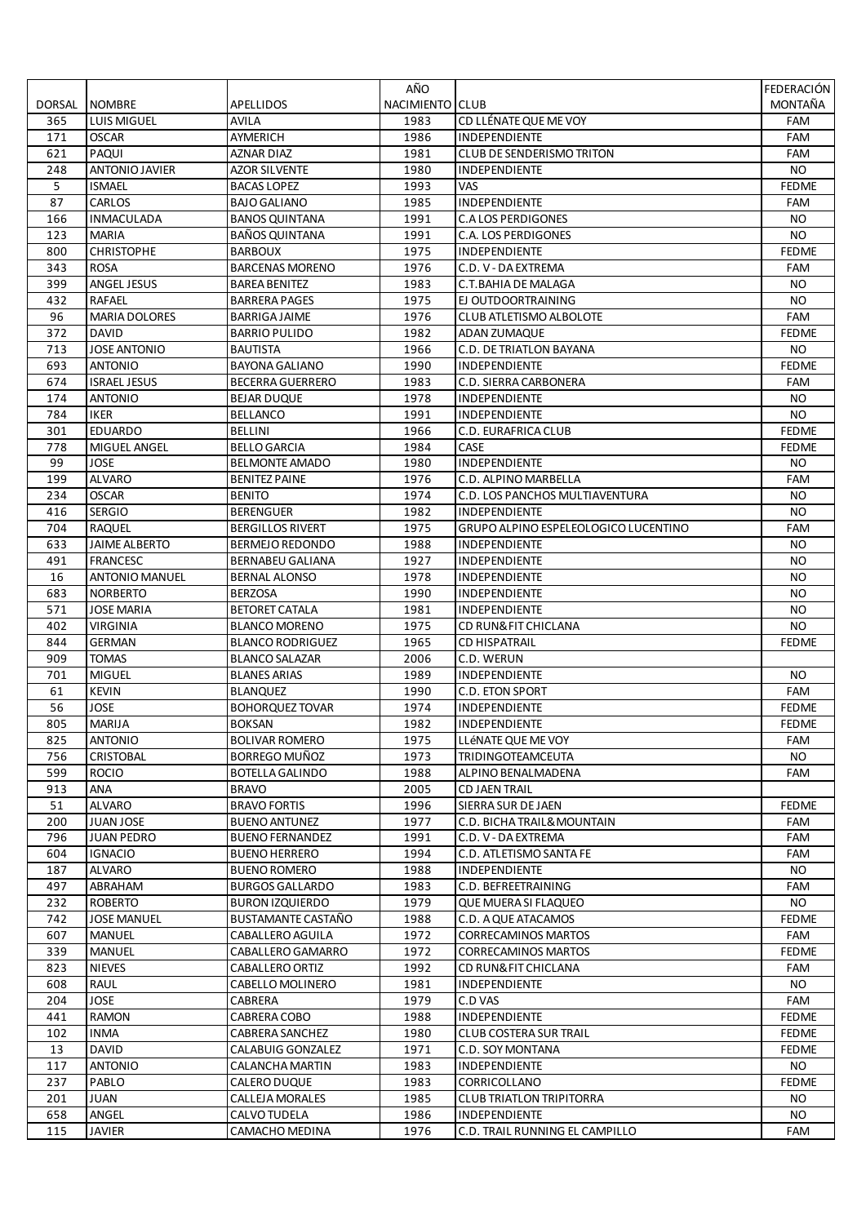|        |                       |                         | AÑO             |                                      | FEDERACIÓN   |
|--------|-----------------------|-------------------------|-----------------|--------------------------------------|--------------|
| DORSAL | <b>NOMBRE</b>         | APELLIDOS               | NACIMIENTO CLUB |                                      | MONTAÑA      |
| 365    | <b>LUIS MIGUEL</b>    | AVILA                   | 1983            | CD LLÉNATE QUE ME VOY                | FAM          |
| 171    | <b>OSCAR</b>          | AYMERICH                | 1986            | INDEPENDIENTE                        | FAM          |
| 621    | PAQUI                 | AZNAR DIAZ              | 1981            | <b>CLUB DE SENDERISMO TRITON</b>     | <b>FAM</b>   |
| 248    | ANTONIO JAVIER        | <b>AZOR SILVENTE</b>    | 1980            | INDEPENDIENTE                        | <b>NO</b>    |
| 5      | <b>ISMAEL</b>         | <b>BACAS LOPEZ</b>      | 1993            | VAS                                  | <b>FEDME</b> |
| 87     | CARLOS                | <b>BAJO GALIANO</b>     | 1985            | INDEPENDIENTE                        | FAM          |
| 166    | <b>INMACULADA</b>     | <b>BANOS QUINTANA</b>   | 1991            | <b>C.ALOS PERDIGONES</b>             | NO.          |
| 123    | <b>MARIA</b>          | BANOS QUINTANA          | 1991            | C.A. LOS PERDIGONES                  | NO.          |
| 800    | <b>CHRISTOPHE</b>     | <b>BARBOUX</b>          | 1975            | INDEPENDIENTE                        | <b>FEDME</b> |
| 343    | <b>ROSA</b>           | <b>BARCENAS MORENO</b>  | 1976            | C.D. V - DA EXTREMA                  | FAM          |
| 399    | <b>ANGEL JESUS</b>    | <b>BAREA BENITEZ</b>    | 1983            | C.T.BAHIA DE MALAGA                  | NO.          |
| 432    | <b>RAFAEL</b>         | <b>BARRERA PAGES</b>    | 1975            | EJ OUTDOORTRAINING                   | NO.          |
| 96     | <b>MARIA DOLORES</b>  | <b>BARRIGA JAIME</b>    | 1976            | CLUB ATLETISMO ALBOLOTE              | FAM          |
| 372    | <b>DAVID</b>          | <b>BARRIO PULIDO</b>    | 1982            | ADAN ZUMAQUE                         | <b>FEDME</b> |
| 713    | <b>JOSE ANTONIO</b>   | BAUTISTA                | 1966            | C.D. DE TRIATLON BAYANA              | NO.          |
| 693    | <b>ANTONIO</b>        | <b>BAYONA GALIANO</b>   | 1990            | <b>INDEPENDIENTE</b>                 | <b>FEDME</b> |
| 674    | <b>ISRAEL JESUS</b>   | <b>BECERRA GUERRERO</b> | 1983            | C.D. SIERRA CARBONERA                | FAM          |
| 174    | <b>ANTONIO</b>        | <b>BEJAR DUQUE</b>      | 1978            | INDEPENDIENTE                        | NO.          |
| 784    | <b>IKER</b>           | <b>BELLANCO</b>         | 1991            | INDEPENDIENTE                        | NO.          |
| 301    | <b>EDUARDO</b>        | <b>BELLINI</b>          | 1966            | C.D. EURAFRICA CLUB                  | <b>FEDME</b> |
| 778    | MIGUEL ANGEL          | <b>BELLO GARCIA</b>     | 1984            | CASE                                 | <b>FEDME</b> |
| 99     | <b>JOSE</b>           | <b>BELMONTE AMADO</b>   | 1980            | INDEPENDIENTE                        | NO.          |
| 199    | <b>ALVARO</b>         | <b>BENITEZ PAINE</b>    | 1976            | C.D. ALPINO MARBELLA                 | FAM          |
| 234    | <b>OSCAR</b>          | <b>BENITO</b>           | 1974            | C.D. LOS PANCHOS MULTIAVENTURA       | NO.          |
| 416    | <b>SERGIO</b>         | <b>BERENGUER</b>        | 1982            | INDEPENDIENTE                        | <b>NO</b>    |
| 704    | <b>RAQUEL</b>         | <b>BERGILLOS RIVERT</b> | 1975            | GRUPO ALPINO ESPELEOLOGICO LUCENTINO | <b>FAM</b>   |
| 633    | <b>JAIME ALBERTO</b>  | <b>BERMEJO REDONDO</b>  | 1988            | INDEPENDIENTE                        | NO.          |
| 491    | <b>FRANCESC</b>       | <b>BERNABEU GALIANA</b> | 1927            | INDEPENDIENTE                        | NO.          |
| 16     | <b>ANTONIO MANUEL</b> | <b>BERNAL ALONSO</b>    | 1978            | INDEPENDIENTE                        | NO.          |
| 683    | <b>NORBERTO</b>       | <b>BERZOSA</b>          | 1990            | <b>INDEPENDIENTE</b>                 | NO.          |
| 571    | JOSE MARIA            | BETORET CATALA          | 1981            | <b>INDEPENDIENTE</b>                 | NO.          |
| 402    | VIRGINIA              | <b>BLANCO MORENO</b>    | 1975            | CD RUN& FIT CHICLANA                 | <b>NO</b>    |
| 844    | <b>GERMAN</b>         | <b>BLANCO RODRIGUEZ</b> | 1965            | <b>CD HISPATRAIL</b>                 | <b>FEDME</b> |
| 909    | <b>TOMAS</b>          | <b>BLANCO SALAZAR</b>   | 2006            | C.D. WERUN                           |              |
| 701    | <b>MIGUEL</b>         | <b>BLANES ARIAS</b>     | 1989            | INDEPENDIENTE                        | NO.          |
| 61     | <b>KEVIN</b>          | <b>BLANQUEZ</b>         | 1990            | C.D. ETON SPORT                      | FAM          |
| 56     | JOSE                  | <b>BOHORQUEZ TOVAR</b>  | 1974            | INDEPENDIENTE                        | <b>FEDME</b> |
| 805    | <b>MARIJA</b>         | <b>BOKSAN</b>           | 1982            | <b>INDEPENDIENTE</b>                 | <b>FEDME</b> |
| 825    | <b>ANTONIO</b>        | <b>BOLIVAR ROMERO</b>   | 1975            | LLÉNATE QUE ME VOY                   | FAM          |
| 756    | CRISTOBAL             | BORREGO MUÑOZ           | 1973            | <b>TRIDINGOTEAMCEUTA</b>             | <b>NO</b>    |
| 599    | <b>ROCIO</b>          | <b>BOTELLA GALINDO</b>  | 1988            | ALPINO BENALMADENA                   | FAM          |
| 913    | ANA                   | <b>BRAVO</b>            | 2005            | <b>CD JAEN TRAIL</b>                 |              |
| 51     | <b>ALVARO</b>         | <b>BRAVO FORTIS</b>     | 1996            | SIERRA SUR DE JAEN                   | <b>FEDME</b> |
| 200    | JUAN JOSE             | <b>BUENO ANTUNEZ</b>    | 1977            | C.D. BICHA TRAIL& MOUNTAIN           | FAM          |
| 796    | <b>JUAN PEDRO</b>     | <b>BUENO FERNANDEZ</b>  | 1991            | C.D. V - DA EXTREMA                  | FAM          |
| 604    | <b>IGNACIO</b>        | <b>BUENO HERRERO</b>    | 1994            | C.D. ATLETISMO SANTA FE              | FAM          |
| 187    | <b>ALVARO</b>         | <b>BUENO ROMERO</b>     | 1988            | <b>INDEPENDIENTE</b>                 | NO.          |
| 497    | ABRAHAM               | <b>BURGOS GALLARDO</b>  | 1983            | C.D. BEFREETRAINING                  | FAM          |
| 232    | <b>ROBERTO</b>        | <b>BURON IZQUIERDO</b>  | 1979            | QUE MUERA SI FLAQUEO                 | NO.          |
| 742    | <b>JOSE MANUEL</b>    | BUSTAMANTE CASTAÑO      | 1988            | C.D. A QUE ATACAMOS                  | <b>FEDME</b> |
| 607    | <b>MANUEL</b>         | CABALLERO AGUILA        | 1972            | <b>CORRECAMINOS MARTOS</b>           | FAM          |
| 339    | <b>MANUEL</b>         | CABALLERO GAMARRO       | 1972            | <b>CORRECAMINOS MARTOS</b>           | <b>FEDME</b> |
| 823    | <b>NIEVES</b>         | CABALLERO ORTIZ         | 1992            | CD RUN& FIT CHICLANA                 | FAM          |
| 608    | RAUL                  | CABELLO MOLINERO        | 1981            | INDEPENDIENTE                        | NO.          |
| 204    | <b>JOSE</b>           | CABRERA                 | 1979            | C.D VAS                              | FAM          |
| 441    | RAMON                 | CABRERA COBO            | 1988            | INDEPENDIENTE                        | <b>FEDME</b> |
| 102    | <b>INMA</b>           | <b>CABRERA SANCHEZ</b>  | 1980            | <b>CLUB COSTERA SUR TRAIL</b>        | <b>FEDME</b> |
| 13     | DAVID                 | CALABUIG GONZALEZ       | 1971            | C.D. SOY MONTANA                     | <b>FEDME</b> |
| 117    | <b>ANTONIO</b>        | CALANCHA MARTIN         | 1983            | INDEPENDIENTE                        | NO.          |
| 237    | PABLO                 | CALERO DUQUE            | 1983            | CORRICOLLANO                         | FEDME        |
| 201    | JUAN                  | CALLEJA MORALES         | 1985            | <b>CLUB TRIATLON TRIPITORRA</b>      | NO.          |
| 658    | ANGEL                 | CALVO TUDELA            | 1986            | INDEPENDIENTE                        | NO.          |
| 115    | <b>JAVIER</b>         | CAMACHO MEDINA          | 1976            | C.D. TRAIL RUNNING EL CAMPILLO       | FAM          |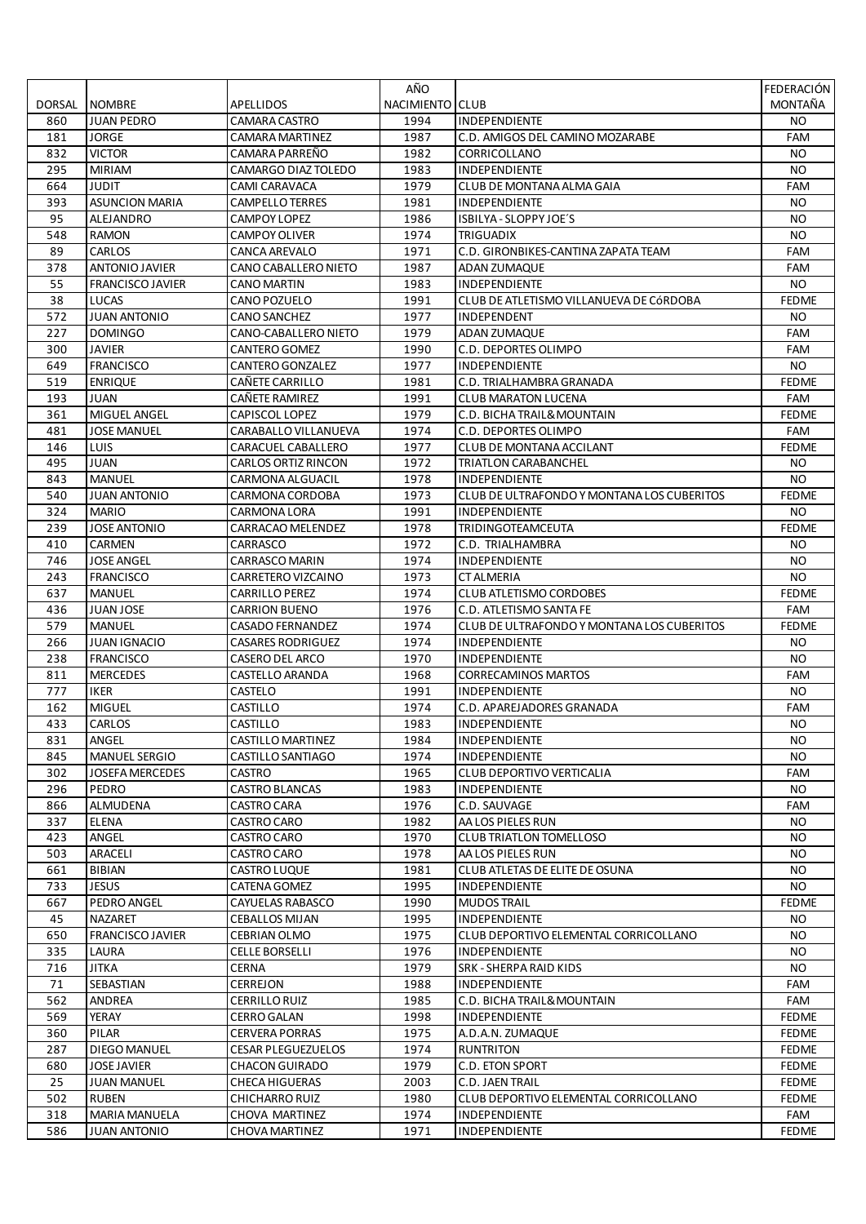|           |                         |                                  | AÑO             |                                             | FEDERACIÓN   |
|-----------|-------------------------|----------------------------------|-----------------|---------------------------------------------|--------------|
| DORSAL    | <b>NOMBRE</b>           | APELLIDOS                        | NACIMIENTO CLUB |                                             | MONTAÑA      |
| 860       | <b>JUAN PEDRO</b>       | <b>CAMARA CASTRO</b>             | 1994            | <b>INDEPENDIENTE</b>                        | NO.          |
| 181       | <b>JORGE</b>            | <b>CAMARA MARTINEZ</b>           | 1987            | C.D. AMIGOS DEL CAMINO MOZARABE             | FAM          |
| 832       | <b>VICTOR</b>           | CAMARA PARREÑO                   | 1982            | CORRICOLLANO                                | NO.          |
| 295       | <b>MIRIAM</b>           | CAMARGO DIAZ TOLEDO              | 1983            | INDEPENDIENTE                               | <b>NO</b>    |
| 664       | <b>JUDIT</b>            | <b>CAMI CARAVACA</b>             | 1979            | CLUB DE MONTANA ALMA GAIA                   | FAM          |
| 393       | <b>ASUNCION MARIA</b>   | <b>CAMPELLO TERRES</b>           | 1981            | INDEPENDIENTE                               | <b>NO</b>    |
| 95        | ALEJANDRO               | <b>CAMPOY LOPEZ</b>              | 1986            | ISBILYA - SLOPPY JOE'S                      | <b>NO</b>    |
| 548       | <b>RAMON</b>            | <b>CAMPOY OLIVER</b>             | 1974            | <b>TRIGUADIX</b>                            | NO.          |
| 89        | CARLOS                  | CANCA AREVALO                    | 1971            | C.D. GIRONBIKES-CANTINA ZAPATA TEAM         | FAM          |
| 378       | ANTONIO JAVIER          | CANO CABALLERO NIETO             | 1987            | ADAN ZUMAQUE                                | FAM          |
| 55        | <b>FRANCISCO JAVIER</b> | <b>CANO MARTIN</b>               | 1983            | <b>INDEPENDIENTE</b>                        | NO.          |
| 38        | LUCAS                   | CANO POZUELO                     | 1991            | CLUB DE ATLETISMO VILLANUEVA DE CÓRDOBA     | <b>FEDME</b> |
| 572       | <b>JUAN ANTONIO</b>     | <b>CANO SANCHEZ</b>              | 1977            | INDEPENDENT                                 | <b>NO</b>    |
| 227       | <b>DOMINGO</b>          | CANO-CABALLERO NIETO             | 1979            | ADAN ZUMAQUE                                | FAM          |
| 300       | JAVIER                  | <b>CANTERO GOMEZ</b>             | 1990            | C.D. DEPORTES OLIMPO                        | FAM          |
| 649       | <b>FRANCISCO</b>        | CANTERO GONZALEZ                 | 1977            | INDEPENDIENTE                               | <b>NO</b>    |
| 519       | <b>ENRIQUE</b>          | CAÑETE CARRILLO                  | 1981            | C.D. TRIALHAMBRA GRANADA                    | <b>FEDME</b> |
| 193       | <b>JUAN</b>             | CAÑETE RAMIREZ                   | 1991            | <b>CLUB MARATON LUCENA</b>                  | FAM          |
| 361       | MIGUEL ANGEL            | <b>CAPISCOL LOPEZ</b>            | 1979            | C.D. BICHA TRAIL& MOUNTAIN                  | <b>FEDME</b> |
| 481       | <b>JOSE MANUEL</b>      | CARABALLO VILLANUEVA             | 1974            | C.D. DEPORTES OLIMPO                        | <b>FAM</b>   |
| 146       | LUIS                    | CARACUEL CABALLERO               | 1977            | CLUB DE MONTANA ACCILANT                    | <b>FEDME</b> |
| 495       | <b>JUAN</b>             | <b>CARLOS ORTIZ RINCON</b>       | 1972            | <b>TRIATLON CARABANCHEL</b>                 | <b>NO</b>    |
| 843       | <b>MANUEL</b>           | <b>CARMONA ALGUACIL</b>          | 1978            | <b>INDEPENDIENTE</b>                        | NO.          |
| 540       | <b>JUAN ANTONIO</b>     | CARMONA CORDOBA                  | 1973            | CLUB DE ULTRAFONDO Y MONTANA LOS CUBERITOS  | <b>FEDME</b> |
| 324       | <b>MARIO</b>            | CARMONA LORA                     | 1991            | INDEPENDIENTE                               | <b>NO</b>    |
| 239       | <b>JOSE ANTONIO</b>     | CARRACAO MELENDEZ                | 1978            | TRIDINGOTEAMCEUTA                           | <b>FEDME</b> |
| 410       | <b>CARMEN</b>           | CARRASCO                         | 1972            | C.D. TRIALHAMBRA                            | NO.          |
| 746       | <b>JOSE ANGEL</b>       | <b>CARRASCO MARIN</b>            | 1974            | INDEPENDIENTE                               | <b>NO</b>    |
| 243       | <b>FRANCISCO</b>        | CARRETERO VIZCAINO               | 1973            | <b>CT ALMERIA</b>                           | <b>NO</b>    |
| 637       | <b>MANUEL</b>           | <b>CARRILLO PEREZ</b>            | 1974            | <b>CLUB ATLETISMO CORDOBES</b>              | <b>FEDME</b> |
| 436       | <b>JUAN JOSE</b>        | <b>CARRION BUENO</b>             | 1976            | C.D. ATLETISMO SANTA FE                     | FAM          |
| 579       | <b>MANUEL</b>           | <b>CASADO FERNANDEZ</b>          | 1974            | CLUB DE ULTRAFONDO Y MONTANA LOS CUBERITOS  | <b>FEDME</b> |
| 266       | <b>JUAN IGNACIO</b>     | <b>CASARES RODRIGUEZ</b>         | 1974            | INDEPENDIENTE                               | NO.          |
| 238       | <b>FRANCISCO</b>        | <b>CASERO DEL ARCO</b>           | 1970            | <b>INDEPENDIENTE</b>                        | NO.          |
| 811       | <b>MERCEDES</b>         | CASTELLO ARANDA                  | 1968            | <b>CORRECAMINOS MARTOS</b>                  | <b>FAM</b>   |
| 777       | <b>IKER</b>             | <b>CASTELO</b>                   | 1991            | <b>INDEPENDIENTE</b>                        | <b>NO</b>    |
| 162       | <b>MIGUEL</b>           | CASTILLO                         | 1974            | C.D. APAREJADORES GRANADA                   | FAM          |
| 433       | CARLOS                  | CASTILLO                         | 1983            | INDEPENDIENTE                               | NO.          |
| 831       | ANGEL                   | CASTILLO MARTINEZ                | 1984            | INDEPENDIENTE                               | NO.          |
| 845       | <b>MANUEL SERGIO</b>    | CASTILLO SANTIAGO                | 1974            | INDEPENDIENTE                               | <b>NO</b>    |
| 302       | <b>JOSEFA MERCEDES</b>  | <b>CASTRO</b>                    | 1965            | <b>CLUB DEPORTIVO VERTICALIA</b>            | FAM          |
| 296       | PEDRO                   | <b>CASTRO BLANCAS</b>            | 1983            | INDEPENDIENTE                               | NO.          |
| 866       | ALMUDENA                | <b>CASTRO CARA</b>               | 1976            | C.D. SAUVAGE                                | FAM          |
| 337       | <b>ELENA</b>            | <b>CASTRO CARO</b>               | 1982            | AA LOS PIELES RUN                           | NO.          |
| 423       | ANGEL                   | <b>CASTRO CARO</b>               | 1970            | <b>CLUB TRIATLON TOMELLOSO</b>              | NO.          |
| 503       | ARACELI                 | CASTRO CARO                      | 1978            | AA LOS PIELES RUN                           | NO.          |
| 661       | <b>BIBIAN</b>           | CASTRO LUQUE                     | 1981            | CLUB ATLETAS DE ELITE DE OSUNA              | NO.          |
| 733       | <b>JESUS</b>            | CATENA GOMEZ                     | 1995            | INDEPENDIENTE                               | <b>NO</b>    |
| 667       | PEDRO ANGEL             | CAYUELAS RABASCO                 | 1990            | <b>MUDOS TRAIL</b>                          | <b>FEDME</b> |
| 45        | NAZARET                 | <b>CEBALLOS MIJAN</b>            | 1995            | INDEPENDIENTE                               | NO.          |
| 650       | <b>FRANCISCO JAVIER</b> | CEBRIAN OLMO                     | 1975            | CLUB DEPORTIVO ELEMENTAL CORRICOLLANO       | NO.          |
| 335       | LAURA                   | <b>CELLE BORSELLI</b>            | 1976            | INDEPENDIENTE                               | NO.          |
| 716       | <b>JITKA</b>            | <b>CERNA</b>                     | 1979            | SRK - SHERPA RAID KIDS                      | NO.          |
|           |                         |                                  |                 |                                             |              |
| 71<br>562 | SEBASTIAN<br>ANDREA     | CERREJON<br><b>CERRILLO RUIZ</b> | 1988<br>1985    | INDEPENDIENTE<br>C.D. BICHA TRAIL& MOUNTAIN | FAM<br>FAM   |
|           |                         |                                  |                 |                                             |              |
| 569       | YERAY                   | <b>CERRO GALAN</b>               | 1998            | INDEPENDIENTE                               | <b>FEDME</b> |
| 360       | PILAR                   | <b>CERVERA PORRAS</b>            | 1975            | A.D.A.N. ZUMAQUE                            | <b>FEDME</b> |
| 287       | DIEGO MANUEL            | <b>CESAR PLEGUEZUELOS</b>        | 1974            | <b>RUNTRITON</b>                            | <b>FEDME</b> |
| 680       | <b>JOSE JAVIER</b>      | <b>CHACON GUIRADO</b>            | 1979            | C.D. ETON SPORT                             | <b>FEDME</b> |
| 25        | <b>JUAN MANUEL</b>      | <b>CHECA HIGUERAS</b>            | 2003            | C.D. JAEN TRAIL                             | <b>FEDME</b> |
| 502       | <b>RUBEN</b>            | CHICHARRO RUIZ                   | 1980            | CLUB DEPORTIVO ELEMENTAL CORRICOLLANO       | <b>FEDME</b> |
| 318       | <b>MARIA MANUELA</b>    | CHOVA MARTINEZ                   | 1974            | INDEPENDIENTE                               | FAM          |
| 586       | <b>JUAN ANTONIO</b>     | CHOVA MARTINEZ                   | 1971            | INDEPENDIENTE                               | <b>FEDME</b> |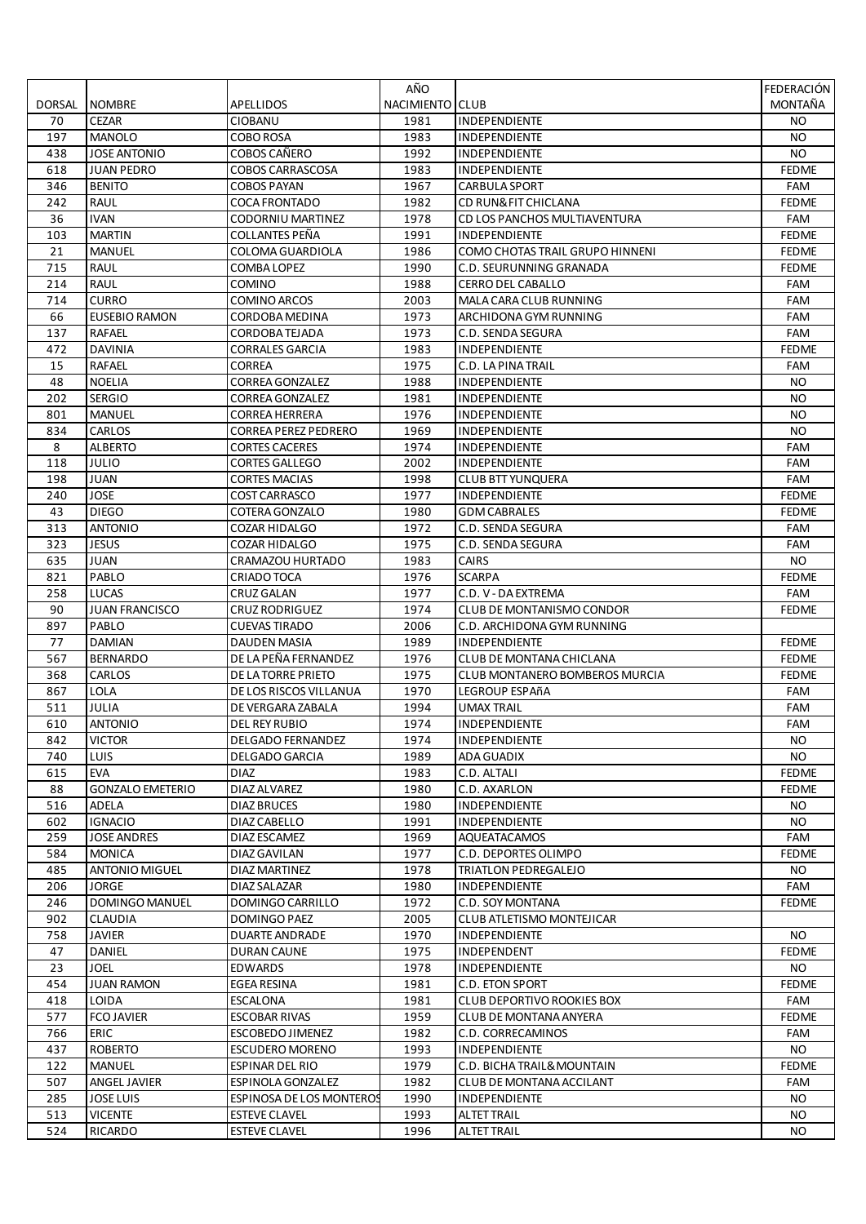|               |                         |                             | AÑO                    |                                   | FEDERACIÓN   |
|---------------|-------------------------|-----------------------------|------------------------|-----------------------------------|--------------|
| <b>DORSAL</b> | <b>NOMBRE</b>           | APELLIDOS                   | <b>NACIMIENTO CLUB</b> |                                   | MONTAÑA      |
| 70            | <b>CEZAR</b>            | <b>CIOBANU</b>              | 1981                   | INDEPENDIENTE                     | NO.          |
| 197           | <b>MANOLO</b>           | <b>COBO ROSA</b>            | 1983                   | INDEPENDIENTE                     | <b>NO</b>    |
| 438           | <b>JOSE ANTONIO</b>     | COBOS CAÑERO                | 1992                   | <b>INDEPENDIENTE</b>              | NO.          |
| 618           | <b>JUAN PEDRO</b>       | <b>COBOS CARRASCOSA</b>     | 1983                   | INDEPENDIENTE                     | <b>FEDME</b> |
| 346           | <b>BENITO</b>           | <b>COBOS PAYAN</b>          | 1967                   | <b>CARBULA SPORT</b>              | FAM          |
| 242           | <b>RAUL</b>             | <b>COCA FRONTADO</b>        | 1982                   | CD RUN& FIT CHICLANA              | <b>FEDME</b> |
| 36            | <b>IVAN</b>             | CODORNIU MARTINEZ           | 1978                   | CD LOS PANCHOS MULTIAVENTURA      | FAM          |
| 103           | <b>MARTIN</b>           | COLLANTES PEÑA              | 1991                   | INDEPENDIENTE                     | <b>FEDME</b> |
| 21            | <b>MANUEL</b>           | COLOMA GUARDIOLA            | 1986                   | COMO CHOTAS TRAIL GRUPO HINNENI   | <b>FEDME</b> |
| 715           | <b>RAUL</b>             | COMBA LOPEZ                 | 1990                   | C.D. SEURUNNING GRANADA           | <b>FEDME</b> |
| 214           | RAUL                    | <b>COMINO</b>               | 1988                   | <b>CERRO DEL CABALLO</b>          | FAM          |
| 714           | <b>CURRO</b>            | <b>COMINO ARCOS</b>         | 2003                   | MALA CARA CLUB RUNNING            | <b>FAM</b>   |
| 66            | <b>EUSEBIO RAMON</b>    | CORDOBA MEDINA              | 1973                   | ARCHIDONA GYM RUNNING             | FAM          |
| 137           | <b>RAFAEL</b>           | CORDOBATEJADA               | 1973                   | C.D. SENDA SEGURA                 | FAM          |
| 472           | DAVINIA                 | CORRALES GARCIA             | 1983                   | INDEPENDIENTE                     | <b>FEDME</b> |
| 15            | <b>RAFAEL</b>           | <b>CORREA</b>               | 1975                   | C.D. LA PINA TRAIL                | FAM          |
| 48            | <b>NOELIA</b>           | <b>CORREA GONZALEZ</b>      | 1988                   | INDEPENDIENTE                     | <b>NO</b>    |
| 202           | <b>SERGIO</b>           | <b>CORREA GONZALEZ</b>      | 1981                   | <b>INDEPENDIENTE</b>              | NO.          |
| 801           | <b>MANUEL</b>           | <b>CORREA HERRERA</b>       | 1976                   | INDEPENDIENTE                     | NO.          |
| 834           | CARLOS                  | <b>CORREA PEREZ PEDRERO</b> | 1969                   | <b>INDEPENDIENTE</b>              | <b>NO</b>    |
| 8             | <b>ALBERTO</b>          | <b>CORTES CACERES</b>       | 1974                   | INDEPENDIENTE                     | FAM          |
| 118           | JULIO                   | <b>CORTES GALLEGO</b>       | 2002                   | <b>INDEPENDIENTE</b>              | FAM          |
| 198           | JUAN                    | <b>CORTES MACIAS</b>        | 1998                   | <b>CLUB BTT YUNQUERA</b>          | FAM          |
| 240           | JOSE                    | COST CARRASCO               | 1977                   | <b>INDEPENDIENTE</b>              | <b>FEDME</b> |
| 43            | <b>DIEGO</b>            | COTERA GONZALO              | 1980                   | <b>GDM CABRALES</b>               | <b>FEDME</b> |
| 313           | <b>ANTONIO</b>          | COZAR HIDALGO               | 1972                   | C.D. SENDA SEGURA                 | FAM          |
| 323           | <b>JESUS</b>            | <b>COZAR HIDALGO</b>        | 1975                   | C.D. SENDA SEGURA                 | <b>FAM</b>   |
| 635           | <b>JUAN</b>             | CRAMAZOU HURTADO            | 1983                   | <b>CAIRS</b>                      | <b>NO</b>    |
| 821           | PABLO                   | CRIADO TOCA                 | 1976                   | <b>SCARPA</b>                     | <b>FEDME</b> |
| 258           | LUCAS                   | CRUZ GALAN                  | 1977                   | C.D. V - DA EXTREMA               | FAM          |
| 90            | <b>JUAN FRANCISCO</b>   | CRUZ RODRIGUEZ              | 1974                   | <b>CLUB DE MONTANISMO CONDOR</b>  | <b>FEDME</b> |
| 897           | PABLO                   | <b>CUEVAS TIRADO</b>        | 2006                   | C.D. ARCHIDONA GYM RUNNING        |              |
| 77            | <b>DAMIAN</b>           | <b>DAUDEN MASIA</b>         | 1989                   | INDEPENDIENTE                     | <b>FEDME</b> |
| 567           | <b>BERNARDO</b>         | DE LA PEÑA FERNANDEZ        | 1976                   | CLUB DE MONTANA CHICLANA          | <b>FEDME</b> |
| 368           | CARLOS                  | DE LA TORRE PRIETO          | 1975                   | CLUB MONTANERO BOMBEROS MURCIA    | <b>FEDME</b> |
| 867           | LOLA                    | DE LOS RISCOS VILLANUA      | 1970                   | <b>LEGROUP ESPAñA</b>             | FAM          |
| 511           | <b>JULIA</b>            | DE VERGARA ZABALA           | 1994                   | <b>UMAX TRAIL</b>                 | FAM          |
| 610           | <b>ANTONIO</b>          | DEL REY RUBIO               | 1974                   | INDEPENDIENTE                     | <b>FAM</b>   |
| 842           | <b>VICTOR</b>           | <b>DELGADO FERNANDEZ</b>    | 1974                   | <b>INDEPENDIENTE</b>              | NO.          |
| 740           | <b>LUIS</b>             | DELGADO GARCIA              | 1989                   | ADA GUADIX                        | NO.          |
| 615           | <b>EVA</b>              | <b>DIAZ</b>                 | 1983                   | C.D. ALTALI                       | <b>FEDME</b> |
| 88            | <b>GONZALO EMETERIO</b> | DIAZ ALVAREZ                | 1980                   | C.D. AXARLON                      | <b>FEDME</b> |
| 516           | ADELA                   | <b>DIAZ BRUCES</b>          | 1980                   | INDEPENDIENTE                     | NO.          |
| 602           | <b>IGNACIO</b>          | DIAZ CABELLO                | 1991                   | <b>INDEPENDIENTE</b>              | NO.          |
| 259           | <b>JOSE ANDRES</b>      | DIAZ ESCAMEZ                | 1969                   | <b>AQUEATACAMOS</b>               | FAM          |
| 584           | <b>MONICA</b>           | DIAZ GAVILAN                | 1977                   | C.D. DEPORTES OLIMPO              | <b>FEDME</b> |
| 485           | <b>ANTONIO MIGUEL</b>   | DIAZ MARTINEZ               | 1978                   | TRIATLON PEDREGALEJO              | NO.          |
| 206           | JORGE                   | DIAZ SALAZAR                | 1980                   | INDEPENDIENTE                     | FAM          |
| 246           | DOMINGO MANUEL          | DOMINGO CARRILLO            | 1972                   | C.D. SOY MONTANA                  | <b>FEDME</b> |
| 902           | CLAUDIA                 | DOMINGO PAEZ                | 2005                   | CLUB ATLETISMO MONTEJICAR         |              |
| 758           | JAVIER                  | <b>DUARTE ANDRADE</b>       | 1970                   | INDEPENDIENTE                     | NO.          |
| 47            | DANIEL                  | DURAN CAUNE                 | 1975                   | INDEPENDENT                       | <b>FEDME</b> |
| 23            | JOEL                    | EDWARDS                     | 1978                   | INDEPENDIENTE                     | <b>NO</b>    |
| 454           | <b>JUAN RAMON</b>       | EGEA RESINA                 | 1981                   | C.D. ETON SPORT                   | <b>FEDME</b> |
| 418           | LOIDA                   | <b>ESCALONA</b>             | 1981                   | <b>CLUB DEPORTIVO ROOKIES BOX</b> | FAM          |
| 577           | <b>FCO JAVIER</b>       | <b>ESCOBAR RIVAS</b>        | 1959                   | CLUB DE MONTANA ANYERA            | <b>FEDME</b> |
| 766           | <b>ERIC</b>             | ESCOBEDO JIMENEZ            | 1982                   | C.D. CORRECAMINOS                 | FAM          |
| 437           | <b>ROBERTO</b>          | <b>ESCUDERO MORENO</b>      | 1993                   | INDEPENDIENTE                     | NO.          |
| 122           | <b>MANUEL</b>           | <b>ESPINAR DEL RIO</b>      | 1979                   | C.D. BICHA TRAIL& MOUNTAIN        | <b>FEDME</b> |
| 507           | ANGEL JAVIER            | ESPINOLA GONZALEZ           | 1982                   | CLUB DE MONTANA ACCILANT          | FAM          |
| 285           | <b>JOSE LUIS</b>        | ESPINOSA DE LOS MONTEROS    | 1990                   | <b>INDEPENDIENTE</b>              | NO.          |
| 513           | <b>VICENTE</b>          | <b>ESTEVE CLAVEL</b>        | 1993                   | <b>ALTET TRAIL</b>                | NO.          |
| 524           | RICARDO                 | <b>ESTEVE CLAVEL</b>        | 1996                   | <b>ALTET TRAIL</b>                | NO.          |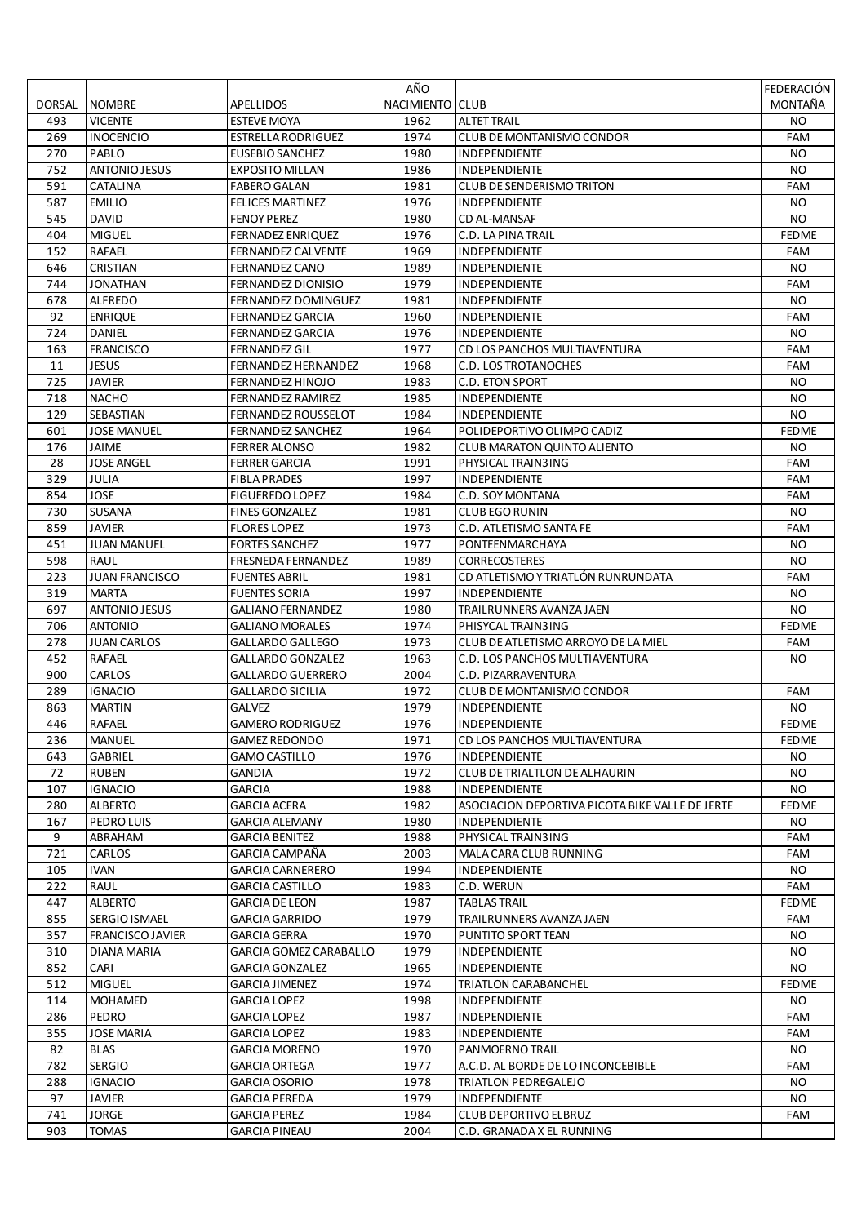|        |                         |                           | AÑO             |                                                 | FEDERACIÓN   |
|--------|-------------------------|---------------------------|-----------------|-------------------------------------------------|--------------|
| DORSAL | <b>NOMBRE</b>           | <b>APELLIDOS</b>          | NACIMIENTO CLUB |                                                 | MONTAÑA      |
| 493    | <b>VICENTE</b>          | <b>ESTEVE MOYA</b>        | 1962            | <b>ALTET TRAIL</b>                              | NO.          |
| 269    | <b>INOCENCIO</b>        | <b>ESTRELLA RODRIGUEZ</b> | 1974            | <b>CLUB DE MONTANISMO CONDOR</b>                | FAM          |
| 270    | PABLO                   | EUSEBIO SANCHEZ           | 1980            | <b>INDEPENDIENTE</b>                            | NO.          |
| 752    | ANTONIO JESUS           | <b>EXPOSITO MILLAN</b>    | 1986            | INDEPENDIENTE                                   | NO.          |
| 591    | CATALINA                | <b>FABERO GALAN</b>       | 1981            | <b>CLUB DE SENDERISMO TRITON</b>                | FAM          |
| 587    | <b>EMILIO</b>           | <b>FELICES MARTINEZ</b>   | 1976            | INDEPENDIENTE                                   | NO.          |
| 545    | <b>DAVID</b>            | <b>FENOY PEREZ</b>        | 1980            | CD AL-MANSAF                                    | <b>NO</b>    |
| 404    | <b>MIGUEL</b>           | FERNADEZ ENRIQUEZ         | 1976            | C.D. LA PINA TRAIL                              | <b>FEDME</b> |
| 152    | <b>RAFAEL</b>           | <b>FERNANDEZ CALVENTE</b> | 1969            | <b>INDEPENDIENTE</b>                            | FAM          |
| 646    | CRISTIAN                | <b>FERNANDEZ CANO</b>     | 1989            | INDEPENDIENTE                                   | <b>NO</b>    |
| 744    | <b>JONATHAN</b>         | FERNANDEZ DIONISIO        | 1979            | <b>INDEPENDIENTE</b>                            | FAM          |
| 678    | <b>ALFREDO</b>          | FERNANDEZ DOMINGUEZ       | 1981            | INDEPENDIENTE                                   | NO.          |
| 92     | <b>ENRIQUE</b>          | FERNANDEZ GARCIA          | 1960            | <b>INDEPENDIENTE</b>                            | FAM          |
| 724    | DANIEL                  | FERNANDEZ GARCIA          | 1976            | INDEPENDIENTE                                   | <b>NO</b>    |
| 163    | <b>FRANCISCO</b>        | FERNANDEZ GIL             | 1977            | CD LOS PANCHOS MULTIAVENTURA                    | FAM          |
| 11     | <b>JESUS</b>            | FERNANDEZ HERNANDEZ       | 1968            | C.D. LOS TROTANOCHES                            | FAM          |
| 725    | <b>JAVIER</b>           | FERNANDEZ HINOJO          | 1983            | C.D. ETON SPORT                                 | NO.          |
| 718    | <b>NACHO</b>            | <b>FERNANDEZ RAMIREZ</b>  | 1985            | INDEPENDIENTE                                   | <b>NO</b>    |
| 129    | SEBASTIAN               | FERNANDEZ ROUSSELOT       | 1984            | INDEPENDIENTE                                   | NO.          |
| 601    | <b>JOSE MANUEL</b>      | <b>FERNANDEZ SANCHEZ</b>  | 1964            | POLIDEPORTIVO OLIMPO CADIZ                      | <b>FEDME</b> |
| 176    | JAIME                   | <b>FERRER ALONSO</b>      | 1982            | <b>CLUB MARATON QUINTO ALIENTO</b>              | NO.          |
| 28     | <b>JOSE ANGEL</b>       | FERRER GARCIA             | 1991            | PHYSICAL TRAIN3ING                              | FAM          |
| 329    | JULIA                   | FIBLA PRADES              | 1997            | <b>INDEPENDIENTE</b>                            | FAM          |
| 854    | JOSE                    | <b>FIGUEREDO LOPEZ</b>    | 1984            | C.D. SOY MONTANA                                | <b>FAM</b>   |
| 730    | SUSANA                  | <b>FINES GONZALEZ</b>     | 1981            | <b>CLUB EGO RUNIN</b>                           | <b>NO</b>    |
| 859    | <b>JAVIER</b>           | <b>FLORES LOPEZ</b>       | 1973            | C.D. ATLETISMO SANTA FE                         | FAM          |
| 451    | <b>JUAN MANUEL</b>      | <b>FORTES SANCHEZ</b>     | 1977            | PONTEENMARCHAYA                                 | NO.          |
| 598    | <b>RAUL</b>             | <b>FRESNEDA FERNANDEZ</b> | 1989            | <b>CORRECOSTERES</b>                            | <b>NO</b>    |
| 223    | <b>JUAN FRANCISCO</b>   | <b>FUENTES ABRIL</b>      | 1981            | CD ATLETISMO Y TRIATLÓN RUNRUNDATA              | FAM          |
| 319    | <b>MARTA</b>            | FUENTES SORIA             | 1997            | <b>INDEPENDIENTE</b>                            | NO.          |
| 697    | <b>ANTONIO JESUS</b>    | GALIANO FERNANDEZ         | 1980            | TRAILRUNNERS AVANZA JAEN                        | NO.          |
| 706    | <b>ANTONIO</b>          | <b>GALIANO MORALES</b>    | 1974            | PHISYCAL TRAIN3ING                              | <b>FEDME</b> |
| 278    | <b>JUAN CARLOS</b>      | GALLARDO GALLEGO          | 1973            | CLUB DE ATLETISMO ARROYO DE LA MIEL             | FAM          |
| 452    | <b>RAFAEL</b>           | <b>GALLARDO GONZALEZ</b>  | 1963            | C.D. LOS PANCHOS MULTIAVENTURA                  | NO.          |
| 900    | CARLOS                  | <b>GALLARDO GUERRERO</b>  | 2004            | C.D. PIZARRAVENTURA                             |              |
| 289    | <b>IGNACIO</b>          | <b>GALLARDO SICILIA</b>   | 1972            | <b>CLUB DE MONTANISMO CONDOR</b>                | FAM          |
| 863    | <b>MARTIN</b>           | GALVEZ                    | 1979            | INDEPENDIENTE                                   | NO.          |
| 446    | <b>RAFAEL</b>           | <b>GAMERO RODRIGUEZ</b>   | 1976            | <b>INDEPENDIENTE</b>                            | <b>FEDME</b> |
| 236    | <b>MANUEL</b>           | <b>GAMEZ REDONDO</b>      | 1971            | CD LOS PANCHOS MULTIAVENTURA                    | <b>FEDME</b> |
| 643    | <b>GABRIEL</b>          | <b>GAMO CASTILLO</b>      | 1976            | INDEPENDIENTE                                   | NO.          |
| 72     | <b>RUBEN</b>            | <b>GANDIA</b>             | 1972            | <b>CLUB DE TRIALTLON DE ALHAURIN</b>            | NO.          |
| 107    | <b>IGNACIO</b>          | <b>GARCIA</b>             | 1988            | INDEPENDIENTE                                   | NO.          |
| 280    | <b>ALBERTO</b>          | <b>GARCIA ACERA</b>       | 1982            | ASOCIACION DEPORTIVA PICOTA BIKE VALLE DE JERTE | <b>FEDME</b> |
| 167    | PEDRO LUIS              | GARCIA ALEMANY            | 1980            | INDEPENDIENTE                                   | NO.          |
| 9      | ABRAHAM                 | GARCIA BENITEZ            | 1988            | PHYSICAL TRAIN3ING                              | FAM          |
| 721    | CARLOS                  | GARCIA CAMPAÑA            | 2003            | MALA CARA CLUB RUNNING                          | FAM          |
| 105    | <b>IVAN</b>             | <b>GARCIA CARNERERO</b>   | 1994            | <b>INDEPENDIENTE</b>                            | NO.          |
| 222    | RAUL                    | <b>GARCIA CASTILLO</b>    | 1983            | C.D. WERUN                                      | FAM          |
| 447    | <b>ALBERTO</b>          | <b>GARCIA DE LEON</b>     | 1987            | <b>TABLAS TRAIL</b>                             | <b>FEDME</b> |
| 855    | SERGIO ISMAEL           | <b>GARCIA GARRIDO</b>     | 1979            | TRAILRUNNERS AVANZA JAEN                        | FAM          |
| 357    | <b>FRANCISCO JAVIER</b> | GARCIA GERRA              | 1970            | PUNTITO SPORT TEAN                              | NO.          |
| 310    | DIANA MARIA             | GARCIA GOMEZ CARABALLO    | 1979            | INDEPENDIENTE                                   | NO.          |
| 852    | CARI                    | GARCIA GONZALEZ           | 1965            | <b>INDEPENDIENTE</b>                            | NO.          |
| 512    | <b>MIGUEL</b>           | <b>GARCIA JIMENEZ</b>     | 1974            | TRIATLON CARABANCHEL                            | <b>FEDME</b> |
| 114    | <b>MOHAMED</b>          | <b>GARCIA LOPEZ</b>       | 1998            | INDEPENDIENTE                                   | NO.          |
| 286    | PEDRO                   | <b>GARCIA LOPEZ</b>       | 1987            | INDEPENDIENTE                                   | FAM          |
| 355    | <b>JOSE MARIA</b>       | <b>GARCIA LOPEZ</b>       | 1983            | INDEPENDIENTE                                   | FAM          |
| 82     | <b>BLAS</b>             | <b>GARCIA MORENO</b>      | 1970            | PANMOERNO TRAIL                                 | NO.          |
| 782    | <b>SERGIO</b>           | <b>GARCIA ORTEGA</b>      | 1977            | A.C.D. AL BORDE DE LO INCONCEBIBLE              | FAM          |
| 288    | IGNACIO                 | GARCIA OSORIO             | 1978            | TRIATLON PEDREGALEJO                            | NO.          |
| 97     | <b>JAVIER</b>           | GARCIA PEREDA             | 1979            | <b>INDEPENDIENTE</b>                            | NO.          |
| 741    | <b>JORGE</b>            | GARCIA PEREZ              | 1984            | <b>CLUB DEPORTIVO ELBRUZ</b>                    | FAM          |
| 903    | <b>TOMAS</b>            | <b>GARCIA PINEAU</b>      | 2004            | C.D. GRANADA X EL RUNNING                       |              |
|        |                         |                           |                 |                                                 |              |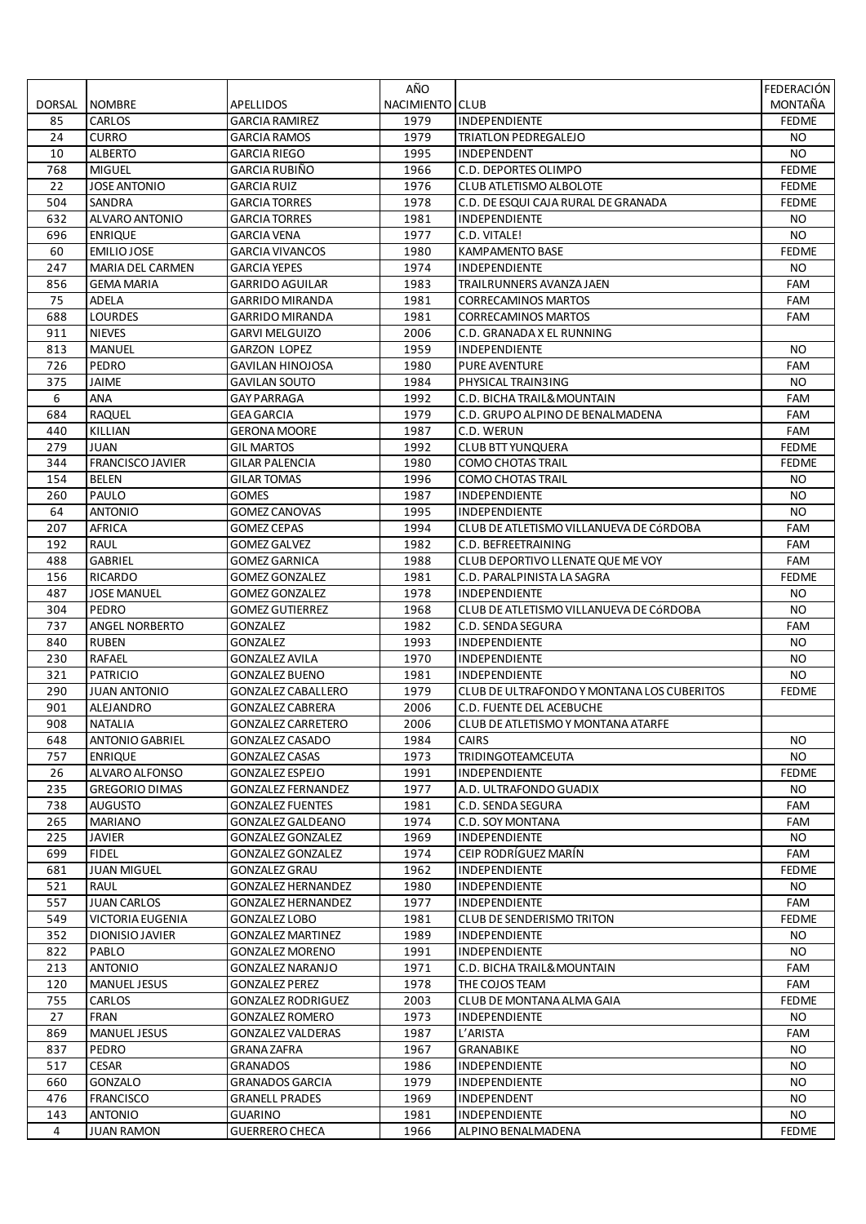|          |                                     |                                     | AÑO             |                                                  | FEDERACIÓN   |
|----------|-------------------------------------|-------------------------------------|-----------------|--------------------------------------------------|--------------|
| DORSAL   | <b>NOMBRE</b>                       | APELLIDOS                           | NACIMIENTO CLUB |                                                  | MONTAÑA      |
| 85       | CARLOS                              | <b>GARCIA RAMIREZ</b>               | 1979            | INDEPENDIENTE                                    | <b>FEDME</b> |
| 24       | <b>CURRO</b>                        | GARCIA RAMOS                        | 1979            | TRIATLON PEDREGALEJO                             | NO.          |
| 10       | <b>ALBERTO</b>                      | <b>GARCIA RIEGO</b>                 | 1995            | <b>INDEPENDENT</b>                               | NO.          |
| 768      | <b>MIGUEL</b>                       | <b>GARCIA RUBIÑO</b>                | 1966            | C.D. DEPORTES OLIMPO                             | <b>FEDME</b> |
| 22       | <b>JOSE ANTONIO</b>                 | <b>GARCIA RUIZ</b>                  | 1976            | <b>CLUB ATLETISMO ALBOLOTE</b>                   | <b>FEDME</b> |
| 504      | SANDRA                              | <b>GARCIA TORRES</b>                | 1978            | C.D. DE ESQUI CAJA RURAL DE GRANADA              | <b>FEDME</b> |
| 632      | ALVARO ANTONIO                      | GARCIA TORRES                       | 1981            | <b>INDEPENDIENTE</b>                             | NO.          |
| 696      | <b>ENRIQUE</b>                      | <b>GARCIA VENA</b>                  | 1977            | C.D. VITALE!                                     | NO.          |
| 60       | EMILIO JOSE                         | <b>GARCIA VIVANCOS</b>              | 1980            | <b>KAMPAMENTO BASE</b>                           | <b>FEDME</b> |
| 247      | MARIA DEL CARMEN                    | GARCIA YEPES                        | 1974            | INDEPENDIENTE                                    | NO.          |
| 856      | GEMA MARIA                          | GARRIDO AGUILAR                     | 1983            | TRAILRUNNERS AVANZA JAEN                         | FAM          |
| 75       | ADELA                               | <b>GARRIDO MIRANDA</b>              | 1981            | <b>CORRECAMINOS MARTOS</b>                       | FAM          |
| 688      | <b>LOURDES</b>                      | GARRIDO MIRANDA                     | 1981            | <b>CORRECAMINOS MARTOS</b>                       | FAM          |
| 911      | <b>NIEVES</b>                       | GARVI MELGUIZO                      | 2006            | C.D. GRANADA X EL RUNNING                        |              |
| 813      | <b>MANUEL</b>                       | GARZON LOPEZ                        | 1959            | <b>INDEPENDIENTE</b>                             | NO.          |
| 726      | PEDRO                               | GAVILAN HINOJOSA                    | 1980            | <b>PURE AVENTURE</b>                             | FAM          |
| 375<br>6 | JAIME<br>ANA                        | GAVILAN SOUTO<br><b>GAY PARRAGA</b> | 1984<br>1992    | PHYSICAL TRAIN3ING<br>C.D. BICHA TRAIL& MOUNTAIN | NO.<br>FAM   |
| 684      | <b>RAQUEL</b>                       | <b>GEA GARCIA</b>                   | 1979            | C.D. GRUPO ALPINO DE BENALMADENA                 | FAM          |
| 440      | KILLIAN                             | <b>GERONA MOORE</b>                 | 1987            | C.D. WERUN                                       | <b>FAM</b>   |
| 279      | JUAN                                | <b>GIL MARTOS</b>                   | 1992            | <b>CLUB BTT YUNQUERA</b>                         | <b>FEDME</b> |
| 344      | <b>FRANCISCO JAVIER</b>             | GILAR PALENCIA                      | 1980            | <b>COMO CHOTAS TRAIL</b>                         | <b>FEDME</b> |
| 154      | BELEN                               | <b>GILAR TOMAS</b>                  | 1996            | <b>COMO CHOTAS TRAIL</b>                         | NO.          |
| 260      | PAULO                               | <b>GOMES</b>                        | 1987            | <b>INDEPENDIENTE</b>                             | NO.          |
| 64       | <b>ANTONIO</b>                      | <b>GOMEZ CANOVAS</b>                | 1995            | <b>INDEPENDIENTE</b>                             | <b>NO</b>    |
| 207      | AFRICA                              | GOMEZ CEPAS                         | 1994            | CLUB DE ATLETISMO VILLANUEVA DE CÓRDOBA          | FAM          |
| 192      | <b>RAUL</b>                         | <b>GOMEZ GALVEZ</b>                 | 1982            | C.D. BEFREETRAINING                              | FAM          |
| 488      | <b>GABRIEL</b>                      | <b>GOMEZ GARNICA</b>                | 1988            | CLUB DEPORTIVO LLENATE QUE ME VOY                | FAM          |
| 156      | RICARDO                             | <b>GOMEZ GONZALEZ</b>               | 1981            | C.D. PARALPINISTA LA SAGRA                       | <b>FEDME</b> |
| 487      | <b>JOSE MANUEL</b>                  | GOMEZ GONZALEZ                      | 1978            | <b>INDEPENDIENTE</b>                             | NO.          |
| 304      | PEDRO                               | GOMEZ GUTIERREZ                     | 1968            | CLUB DE ATLETISMO VILLANUEVA DE CÓRDOBA          | NO.          |
| 737      | ANGEL NORBERTO                      | <b>GONZALEZ</b>                     | 1982            | C.D. SENDA SEGURA                                | FAM          |
| 840      | <b>RUBEN</b>                        | <b>GONZALEZ</b>                     | 1993            | <b>INDEPENDIENTE</b>                             | NO.          |
| 230      | <b>RAFAEL</b>                       | <b>GONZALEZ AVILA</b>               | 1970            | <b>INDEPENDIENTE</b>                             | NO.          |
| 321      | <b>PATRICIO</b>                     | <b>GONZALEZ BUENO</b>               | 1981            | <b>INDEPENDIENTE</b>                             | NO.          |
| 290      | <b>JUAN ANTONIO</b>                 | <b>GONZALEZ CABALLERO</b>           | 1979            | CLUB DE ULTRAFONDO Y MONTANA LOS CUBERITOS       | <b>FEDME</b> |
| 901      | ALEJANDRO                           | <b>GONZALEZ CABRERA</b>             | 2006            | C.D. FUENTE DEL ACEBUCHE                         |              |
| 908      | <b>NATALIA</b>                      | <b>GONZALEZ CARRETERO</b>           | 2006            | CLUB DE ATLETISMO Y MONTANA ATARFE               |              |
| 648      | <b>ANTONIO GABRIEL</b>              | GONZALEZ CASADO                     | 1984            | <b>CAIRS</b>                                     | NO.          |
| 757      | <b>ENRIQUE</b>                      | <b>GONZALEZ CASAS</b>               | 1973            | <b>TRIDINGOTEAMCEUTA</b>                         | <b>NO</b>    |
| 26       | ALVARO ALFONSO                      | <b>GONZALEZ ESPEJO</b>              | 1991            | <b>INDEPENDIENTE</b>                             | <b>FEDME</b> |
| 235      | <b>GREGORIO DIMAS</b>               | <b>GONZALEZ FERNANDEZ</b>           | 1977            | A.D. ULTRAFONDO GUADIX                           | NO.          |
| 738      | <b>AUGUSTO</b>                      | <b>GONZALEZ FUENTES</b>             | 1981            | C.D. SENDA SEGURA                                | FAM          |
| 265      | <b>MARIANO</b>                      | <b>GONZALEZ GALDEANO</b>            | 1974            | C.D. SOY MONTANA                                 | FAM          |
| 225      | JAVIER                              | <b>GONZALEZ GONZALEZ</b>            | 1969            | <b>INDEPENDIENTE</b>                             | NO.          |
| 699      | <b>FIDEL</b>                        | <b>GONZALEZ GONZALEZ</b>            | 1974            | CEIP RODRIGUEZ MARIN                             | FAM          |
| 681      | <b>JUAN MIGUEL</b>                  | <b>GONZALEZ GRAU</b>                | 1962            | <b>INDEPENDIENTE</b>                             | <b>FEDME</b> |
| 521      | RAUL                                | <b>GONZALEZ HERNANDEZ</b>           | 1980            | INDEPENDIENTE                                    | NO.          |
| 557      | <b>JUAN CARLOS</b>                  | <b>GONZALEZ HERNANDEZ</b>           | 1977            | <b>INDEPENDIENTE</b>                             | FAM          |
| 549      | <b>VICTORIA EUGENIA</b>             | <b>GONZALEZ LOBO</b>                | 1981            | <b>CLUB DE SENDERISMO TRITON</b>                 | <b>FEDME</b> |
| 352      | DIONISIO JAVIER                     | <b>GONZALEZ MARTINEZ</b>            | 1989            | <b>INDEPENDIENTE</b>                             | NO.          |
| 822      | PABLO                               | <b>GONZALEZ MORENO</b>              | 1991            | INDEPENDIENTE                                    | NO.          |
| 213      | <b>ANTONIO</b>                      | GONZALEZ NARANJO                    | 1971            | C.D. BICHA TRAIL& MOUNTAIN                       | FAM          |
| 120      | <b>MANUEL JESUS</b>                 | <b>GONZALEZ PEREZ</b>               | 1978            | THE COJOS TEAM                                   | FAM          |
| 755      | CARLOS                              | <b>GONZALEZ RODRIGUEZ</b>           | 2003            | CLUB DE MONTANA ALMA GAIA                        | <b>FEDME</b> |
| 27       | <b>FRAN</b>                         | <b>GONZALEZ ROMERO</b>              | 1973            | INDEPENDIENTE                                    | NO.          |
| 869      | MANUEL JESUS                        | <b>GONZALEZ VALDERAS</b>            | 1987            | L'ARISTA                                         | FAM          |
| 837      | PEDRO                               | <b>GRANA ZAFRA</b>                  | 1967            | <b>GRANABIKE</b>                                 | NO.          |
| 517      | <b>CESAR</b>                        | <b>GRANADOS</b>                     | 1986            | INDEPENDIENTE                                    | NO.          |
| 660      | GONZALO                             | GRANADOS GARCIA                     | 1979            | <b>INDEPENDIENTE</b>                             | NO.          |
| 476      | <b>FRANCISCO</b>                    | <b>GRANELL PRADES</b>               | 1969            | INDEPENDENT                                      | NO.          |
| 143<br>4 | <b>ANTONIO</b><br><b>JUAN RAMON</b> | GUARINO<br><b>GUERRERO CHECA</b>    | 1981<br>1966    | <b>INDEPENDIENTE</b><br>ALPINO BENALMADENA       | NO.          |
|          |                                     |                                     |                 |                                                  | <b>FEDME</b> |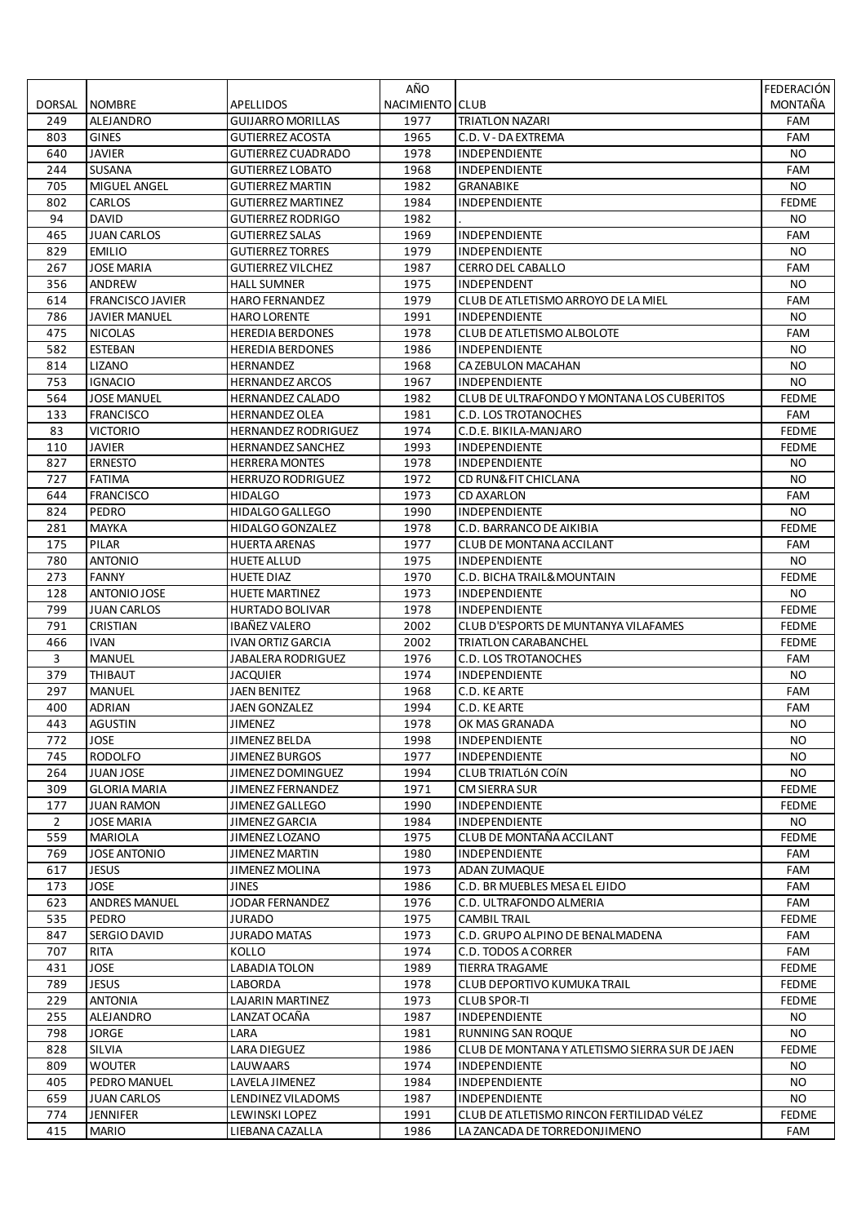|                |                         |                            | AÑO             |                                                | <b>FEDERACIÓN</b> |
|----------------|-------------------------|----------------------------|-----------------|------------------------------------------------|-------------------|
| DORSAL         | <b>NOMBRE</b>           | <b>APELLIDOS</b>           | NACIMIENTO CLUB |                                                | MONTAÑA           |
| 249            | ALEJANDRO               | <b>GUIJARRO MORILLAS</b>   | 1977            | <b>TRIATLON NAZARI</b>                         | FAM               |
| 803            | <b>GINES</b>            | <b>GUTIERREZ ACOSTA</b>    | 1965            | C.D. V - DA EXTREMA                            | FAM               |
| 640            | <b>JAVIER</b>           | <b>GUTIERREZ CUADRADO</b>  | 1978            | <b>INDEPENDIENTE</b>                           | NO.               |
| 244            | SUSANA                  | <b>GUTIERREZ LOBATO</b>    | 1968            | INDEPENDIENTE                                  | FAM               |
| 705            | MIGUEL ANGEL            | <b>GUTIERREZ MARTIN</b>    | 1982            | <b>GRANABIKE</b>                               | NO.               |
| 802            | CARLOS                  | <b>GUTIERREZ MARTINEZ</b>  | 1984            | INDEPENDIENTE                                  | <b>FEDME</b>      |
| 94             | <b>DAVID</b>            | <b>GUTIERREZ RODRIGO</b>   | 1982            |                                                | NO                |
| 465            | <b>JUAN CARLOS</b>      | GUTIERREZ SALAS            | 1969            | <b>INDEPENDIENTE</b>                           | FAM               |
| 829            | <b>EMILIO</b>           | <b>GUTIERREZ TORRES</b>    | 1979            | INDEPENDIENTE                                  | NO.               |
| 267            | <b>JOSE MARIA</b>       | <b>GUTIERREZ VILCHEZ</b>   | 1987            | CERRO DEL CABALLO                              | FAM               |
| 356            | ANDREW                  | HALL SUMNER                | 1975            | <b>INDEPENDENT</b>                             | NO.               |
| 614            | <b>FRANCISCO JAVIER</b> | <b>HARO FERNANDEZ</b>      | 1979            | CLUB DE ATLETISMO ARROYO DE LA MIEL            | FAM               |
| 786            | <b>JAVIER MANUEL</b>    | <b>HARO LORENTE</b>        | 1991            | INDEPENDIENTE                                  | NO.               |
| 475            | <b>NICOLAS</b>          | <b>HEREDIA BERDONES</b>    | 1978            | CLUB DE ATLETISMO ALBOLOTE                     | FAM               |
| 582            | ESTEBAN                 | <b>HEREDIA BERDONES</b>    | 1986            | <b>INDEPENDIENTE</b>                           | NO.               |
| 814            | LIZANO                  | <b>HERNANDEZ</b>           | 1968            | CA ZEBULON MACAHAN                             | NO.               |
| 753            | <b>IGNACIO</b>          | <b>HERNANDEZ ARCOS</b>     | 1967            | <b>INDEPENDIENTE</b>                           | <b>NO</b>         |
| 564            | <b>JOSE MANUEL</b>      | <b>HERNANDEZ CALADO</b>    | 1982            | CLUB DE ULTRAFONDO Y MONTANA LOS CUBERITOS     | <b>FEDME</b>      |
| 133            | <b>FRANCISCO</b>        | <b>HERNANDEZ OLEA</b>      | 1981            | <b>C.D. LOS TROTANOCHES</b>                    | FAM               |
| 83             | <b>VICTORIO</b>         | <b>HERNANDEZ RODRIGUEZ</b> | 1974            | C.D.E. BIKILA-MANJARO                          | <b>FEDME</b>      |
| 110            | <b>JAVIER</b>           | <b>HERNANDEZ SANCHEZ</b>   | 1993            | INDEPENDIENTE                                  | <b>FEDME</b>      |
| 827            | <b>ERNESTO</b>          | <b>HERRERA MONTES</b>      | 1978            | INDEPENDIENTE                                  | NO.               |
| 727            | <b>FATIMA</b>           | HERRUZO RODRIGUEZ          | 1972            | <b>CD RUN&amp;FIT CHICLANA</b>                 | NO.               |
| 644            | <b>FRANCISCO</b>        | <b>HIDALGO</b>             | 1973            | <b>CD AXARLON</b>                              | FAM               |
| 824            | PEDRO                   | HIDALGO GALLEGO            | 1990            | INDEPENDIENTE                                  | <b>NO</b>         |
| 281            | MAYKA                   | HIDALGO GONZALEZ           | 1978            | C.D. BARRANCO DE AIKIBIA                       | <b>FEDME</b>      |
| 175            | PILAR                   | <b>HUERTA ARENAS</b>       | 1977            | CLUB DE MONTANA ACCILANT                       | FAM               |
| 780            | <b>ANTONIO</b>          | <b>HUETE ALLUD</b>         | 1975            | INDEPENDIENTE                                  | NO.               |
| 273            | <b>FANNY</b>            | HUETE DIAZ                 | 1970            | C.D. BICHA TRAIL& MOUNTAIN                     | <b>FEDME</b>      |
| 128            | ANTONIO JOSE            | HUETE MARTINEZ             | 1973            | <b>INDEPENDIENTE</b>                           | NO.               |
| 799            | <b>JUAN CARLOS</b>      | HURTADO BOLIVAR            | 1978            | <b>INDEPENDIENTE</b>                           | <b>FEDME</b>      |
| 791            | CRISTIAN                | IBAÑEZ VALERO              | 2002            | CLUB D'ESPORTS DE MUNTANYA VILAFAMES           | <b>FEDME</b>      |
| 466            | <b>IVAN</b>             | <b>IVAN ORTIZ GARCIA</b>   | 2002            | <b>TRIATLON CARABANCHEL</b>                    | <b>FEDME</b>      |
| 3              | <b>MANUEL</b>           | JABALERA RODRIGUEZ         | 1976            | C.D. LOS TROTANOCHES                           | FAM               |
| 379            | <b>THIBAUT</b>          | <b>JACQUIER</b>            | 1974            | <b>INDEPENDIENTE</b>                           | NO.               |
| 297            | <b>MANUEL</b>           | <b>JAEN BENITEZ</b>        | 1968            | C.D. KE ARTE                                   | FAM               |
| 400            | <b>ADRIAN</b>           | JAEN GONZALEZ              | 1994            | C.D. KE ARTE                                   | FAM               |
| 443            | <b>AGUSTIN</b>          | JIMENEZ                    | 1978            | OK MAS GRANADA                                 | NO.               |
| 772            | JOSE                    | <b>JIMENEZ BELDA</b>       | 1998            | INDEPENDIENTE                                  | NO.               |
| 745            | <b>RODOLFO</b>          | <b>JIMENEZ BURGOS</b>      | 1977            | INDEPENDIENTE                                  | NO.               |
| 264            | JUAN JOSE               | <b>JIMENEZ DOMINGUEZ</b>   | 1994            | <b>CLUB TRIATLÓN COÍN</b>                      | NO.               |
| 309            | <b>GLORIA MARIA</b>     | <b>JIMENEZ FERNANDEZ</b>   | 1971            | <b>CM SIERRA SUR</b>                           | <b>FEDME</b>      |
| 177            | <b>JUAN RAMON</b>       | JIMENEZ GALLEGO            | 1990            | INDEPENDIENTE                                  | <b>FEDME</b>      |
| $\overline{2}$ | <b>JOSE MARIA</b>       | JIMENEZ GARCIA             | 1984            | INDEPENDIENTE                                  | NO.               |
| 559            | MARIOLA                 | JIMENEZ LOZANO             | 1975            | CLUB DE MONTAÑA ACCILANT                       | <b>FEDME</b>      |
| 769            | <b>JOSE ANTONIO</b>     | JIMENEZ MARTIN             | 1980            | <b>INDEPENDIENTE</b>                           | FAM               |
| 617            | JESUS                   | JIMENEZ MOLINA             | 1973            | ADAN ZUMAQUE                                   | FAM               |
| 173            | JOSE                    | JINES                      | 1986            | C.D. BR MUEBLES MESA EL EJIDO                  | FAM               |
| 623            | <b>ANDRES MANUEL</b>    | JODAR FERNANDEZ            | 1976            | C.D. ULTRAFONDO ALMERIA                        | FAM               |
| 535            | <b>PEDRO</b>            | JURADO                     | 1975            | <b>CAMBIL TRAIL</b>                            | <b>FEDME</b>      |
| 847            | SERGIO DAVID            | <b>JURADO MATAS</b>        | 1973            | C.D. GRUPO ALPINO DE BENALMADENA               | FAM               |
| 707            | RITA                    | KOLLO                      | 1974            | C.D. TODOS A CORRER                            | FAM               |
| 431            | JOSE                    | LABADIA TOLON              | 1989            | <b>TIERRA TRAGAME</b>                          | <b>FEDME</b>      |
| 789            | <b>JESUS</b>            | LABORDA                    | 1978            | CLUB DEPORTIVO KUMUKA TRAIL                    | <b>FEDME</b>      |
| 229            | <b>ANTONIA</b>          | LAJARIN MARTINEZ           | 1973            | <b>CLUB SPOR-TI</b>                            | <b>FEDME</b>      |
| 255            | ALEJANDRO               | LANZAT OCAÑA               | 1987            | INDEPENDIENTE                                  | NO.               |
| 798            | JORGE                   | LARA                       | 1981            | RUNNING SAN ROQUE                              | NO.               |
| 828            | SILVIA                  | LARA DIEGUEZ               | 1986            | CLUB DE MONTANA Y ATLETISMO SIERRA SUR DE JAEN | <b>FEDME</b>      |
| 809            | <b>WOUTER</b>           | LAUWAARS                   | 1974            | INDEPENDIENTE                                  | NO.               |
| 405            | PEDRO MANUEL            | LAVELA JIMENEZ             | 1984            | <b>INDEPENDIENTE</b>                           | NO.               |
| 659            | JUAN CARLOS             | LENDINEZ VILADOMS          | 1987            | <b>INDEPENDIENTE</b>                           | NO.               |
| 774            | <b>JENNIFER</b>         | LEWINSKI LOPEZ             | 1991            | CLUB DE ATLETISMO RINCON FERTILIDAD VÉLEZ      | <b>FEDME</b>      |
| 415            | <b>MARIO</b>            | LIEBANA CAZALLA            | 1986            | LA ZANCADA DE TORREDONJIMENO                   | FAM               |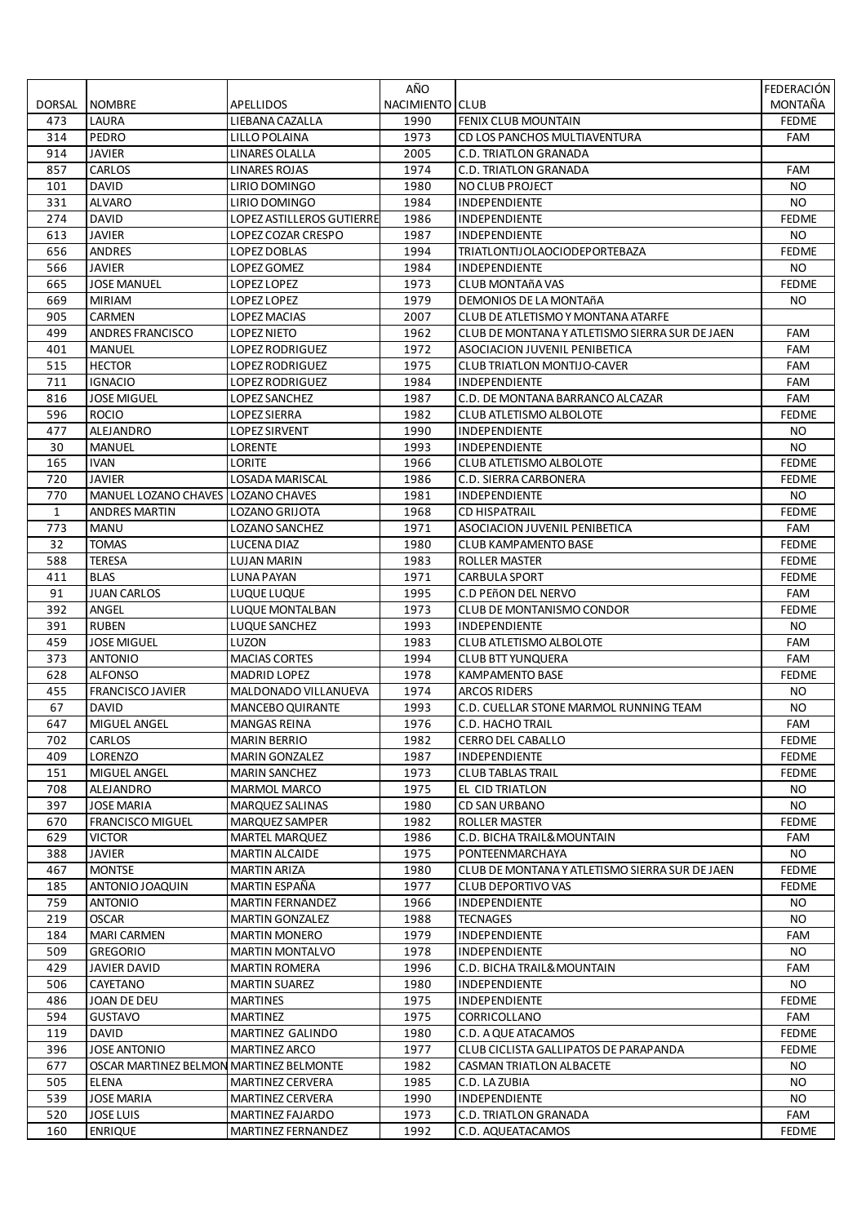|              |                                                     |                           | AÑO             |                                                | FEDERACIÓN   |
|--------------|-----------------------------------------------------|---------------------------|-----------------|------------------------------------------------|--------------|
| DORSAL       | <b>NOMBRE</b>                                       | APELLIDOS                 | NACIMIENTO CLUB |                                                | MONTAÑA      |
| 473          | LAURA                                               | LIEBANA CAZALLA           | 1990            | FENIX CLUB MOUNTAIN                            | <b>FEDME</b> |
| 314          | PEDRO                                               | LILLO POLAINA             | 1973            | CD LOS PANCHOS MULTIAVENTURA                   | FAM          |
| 914          | <b>JAVIER</b>                                       | LINARES OLALLA            | 2005            | C.D. TRIATLON GRANADA                          |              |
| 857          | CARLOS                                              | LINARES ROJAS             | 1974            | <b>C.D. TRIATLON GRANADA</b>                   | FAM          |
| 101          | <b>DAVID</b>                                        | LIRIO DOMINGO             | 1980            | <b>NO CLUB PROJECT</b>                         | NO.          |
| 331          | <b>ALVARO</b>                                       | LIRIO DOMINGO             | 1984            | INDEPENDIENTE                                  | <b>NO</b>    |
| 274          | <b>DAVID</b>                                        | LOPEZ ASTILLEROS GUTIERRE | 1986            | INDEPENDIENTE                                  | <b>FEDME</b> |
| 613          | <b>JAVIER</b>                                       | LOPEZ COZAR CRESPO        | 1987            | <b>INDEPENDIENTE</b>                           | NO.          |
| 656          | <b>ANDRES</b>                                       | <b>LOPEZ DOBLAS</b>       | 1994            | <b>TRIATLONTIJOLAOCIODEPORTEBAZA</b>           | <b>FEDME</b> |
| 566          | <b>JAVIER</b>                                       | LOPEZ GOMEZ               | 1984            | <b>INDEPENDIENTE</b>                           | NO.          |
| 665          | <b>JOSE MANUEL</b>                                  | LOPEZ LOPEZ               | 1973            | CLUB MONTAñA VAS                               | <b>FEDME</b> |
| 669          | <b>MIRIAM</b>                                       | LOPEZ LOPEZ               | 1979            | DEMONIOS DE LA MONTAñA                         | NO.          |
| 905          | <b>CARMEN</b>                                       | <b>LOPEZ MACIAS</b>       | 2007            | CLUB DE ATLETISMO Y MONTANA ATARFE             |              |
| 499          | <b>ANDRES FRANCISCO</b>                             | <b>LOPEZ NIETO</b>        | 1962            | CLUB DE MONTANA Y ATLETISMO SIERRA SUR DE JAEN | FAM          |
| 401          | <b>MANUEL</b>                                       | <b>LOPEZ RODRIGUEZ</b>    | 1972            | ASOCIACION JUVENIL PENIBETICA                  | FAM          |
| 515          | <b>HECTOR</b>                                       | <b>LOPEZ RODRIGUEZ</b>    | 1975            | <b>CLUB TRIATLON MONTIJO-CAVER</b>             | FAM          |
| 711          | <b>IGNACIO</b>                                      | <b>LOPEZ RODRIGUEZ</b>    | 1984            | INDEPENDIENTE                                  | FAM          |
| 816          | <b>JOSE MIGUEL</b>                                  | LOPEZ SANCHEZ             | 1987            | C.D. DE MONTANA BARRANCO ALCAZAR               | <b>FAM</b>   |
| 596          | <b>ROCIO</b>                                        | <b>LOPEZ SIERRA</b>       | 1982            | CLUB ATLETISMO ALBOLOTE                        | <b>FEDME</b> |
| 477          | ALEJANDRO                                           | <b>LOPEZ SIRVENT</b>      | 1990            | INDEPENDIENTE                                  | NO.          |
| 30           | <b>MANUEL</b>                                       | LORENTE                   | 1993            | INDEPENDIENTE                                  | <b>NO</b>    |
| 165          | <b>IVAN</b>                                         | LORITE                    | 1966            | CLUB ATLETISMO ALBOLOTE                        | <b>FEDME</b> |
|              |                                                     |                           |                 | C.D. SIERRA CARBONERA                          |              |
| 720          | <b>JAVIER</b><br>MANUEL LOZANO CHAVES LOZANO CHAVES | LOSADA MARISCAL           | 1986            |                                                | <b>FEDME</b> |
| 770          |                                                     |                           | 1981            | INDEPENDIENTE                                  | NO.          |
| $\mathbf{1}$ | <b>ANDRES MARTIN</b>                                | LOZANO GRIJOTA            | 1968            | <b>CD HISPATRAIL</b>                           | <b>FEDME</b> |
| 773          | <b>MANU</b>                                         | <b>LOZANO SANCHEZ</b>     | 1971            | ASOCIACION JUVENIL PENIBETICA                  | FAM          |
| 32           | <b>TOMAS</b>                                        | LUCENA DIAZ               | 1980            | <b>CLUB KAMPAMENTO BASE</b>                    | <b>FEDME</b> |
| 588          | <b>TERESA</b>                                       | <b>LUJAN MARIN</b>        | 1983            | <b>ROLLER MASTER</b>                           | <b>FEDME</b> |
| 411          | <b>BLAS</b>                                         | <b>LUNA PAYAN</b>         | 1971            | <b>CARBULA SPORT</b>                           | <b>FEDME</b> |
| 91           | <b>JUAN CARLOS</b>                                  | LUQUE LUQUE               | 1995            | C.D PEñON DEL NERVO                            | FAM          |
| 392          | ANGEL                                               | LUQUE MONTALBAN           | 1973            | CLUB DE MONTANISMO CONDOR                      | <b>FEDME</b> |
| 391          | <b>RUBEN</b>                                        | LUQUE SANCHEZ             | 1993            | INDEPENDIENTE                                  | NO.          |
| 459          | <b>JOSE MIGUEL</b>                                  | LUZON                     | 1983            | <b>CLUB ATLETISMO ALBOLOTE</b>                 | FAM          |
| 373          | <b>ANTONIO</b>                                      | <b>MACIAS CORTES</b>      | 1994            | <b>CLUB BTT YUNQUERA</b>                       | <b>FAM</b>   |
| 628          | <b>ALFONSO</b>                                      | <b>MADRID LOPEZ</b>       | 1978            | <b>KAMPAMENTO BASE</b>                         | <b>FEDME</b> |
| 455          | <b>FRANCISCO JAVIER</b>                             | MALDONADO VILLANUEVA      | 1974            | <b>ARCOS RIDERS</b>                            | NO.          |
| 67           | <b>DAVID</b>                                        | <b>MANCEBO QUIRANTE</b>   | 1993            | C.D. CUELLAR STONE MARMOL RUNNING TEAM         | <b>NO</b>    |
| 647          | <b>MIGUEL ANGEL</b>                                 | <b>MANGAS REINA</b>       | 1976            | C.D. HACHO TRAIL                               | FAM          |
| 702          | <b>CARLOS</b>                                       | <b>MARIN BERRIO</b>       | 1982            | <b>CERRO DEL CABALLO</b>                       | <b>FEDME</b> |
| 409          | LORENZO                                             | <b>MARIN GONZALEZ</b>     | 1987            | <b>INDEPENDIENTE</b>                           | <b>FEDME</b> |
| 151          | MIGUEL ANGEL                                        | <b>MARIN SANCHEZ</b>      | 1973            | <b>CLUB TABLAS TRAIL</b>                       | <b>FEDME</b> |
| 708          | ALEJANDRO                                           | <b>MARMOL MARCO</b>       | 1975            | EL CID TRIATLON                                | NO.          |
| 397          | <b>JOSE MARIA</b>                                   | <b>MARQUEZ SALINAS</b>    | 1980            | CD SAN URBANO                                  | NO.          |
| 670          | <b>FRANCISCO MIGUEL</b>                             | MARQUEZ SAMPER            | 1982            | <b>ROLLER MASTER</b>                           | <b>FEDME</b> |
| 629          | <b>VICTOR</b>                                       | <b>MARTEL MARQUEZ</b>     | 1986            | C.D. BICHA TRAIL& MOUNTAIN                     | FAM          |
| 388          | JAVIER                                              | <b>MARTIN ALCAIDE</b>     | 1975            | PONTEENMARCHAYA                                | NO.          |
| 467          | <b>MONTSE</b>                                       | <b>MARTIN ARIZA</b>       | 1980            | CLUB DE MONTANA Y ATLETISMO SIERRA SUR DE JAEN | <b>FEDME</b> |
| 185          | ANTONIO JOAQUIN                                     | MARTIN ESPAÑA             | 1977            | CLUB DEPORTIVO VAS                             | <b>FEDME</b> |
| 759          | <b>ANTONIO</b>                                      | <b>MARTIN FERNANDEZ</b>   | 1966            | INDEPENDIENTE                                  | NO.          |
| 219          | <b>OSCAR</b>                                        | <b>MARTIN GONZALEZ</b>    | 1988            | <b>TECNAGES</b>                                | NO.          |
| 184          | <b>MARI CARMEN</b>                                  | <b>MARTIN MONERO</b>      | 1979            | <b>INDEPENDIENTE</b>                           | FAM          |
| 509          | <b>GREGORIO</b>                                     | <b>MARTIN MONTALVO</b>    | 1978            | INDEPENDIENTE                                  | NO.          |
| 429          | JAVIER DAVID                                        | <b>MARTIN ROMERA</b>      | 1996            | C.D. BICHA TRAIL& MOUNTAIN                     | FAM          |
| 506          | CAYETANO                                            | <b>MARTIN SUAREZ</b>      | 1980            | <b>INDEPENDIENTE</b>                           | NO.          |
| 486          | JOAN DE DEU                                         | <b>MARTINES</b>           | 1975            | INDEPENDIENTE                                  | <b>FEDME</b> |
| 594          | <b>GUSTAVO</b>                                      | <b>MARTINEZ</b>           | 1975            | CORRICOLLANO                                   | FAM          |
| 119          | DAVID                                               | MARTINEZ GALINDO          | 1980            | C.D. A QUE ATACAMOS                            | <b>FEDME</b> |
| 396          | <b>JOSE ANTONIO</b>                                 | <b>MARTINEZ ARCO</b>      | 1977            | CLUB CICLISTA GALLIPATOS DE PARAPANDA          | <b>FEDME</b> |
| 677          | OSCAR MARTINEZ BELMON MARTINEZ BELMONTE             |                           | 1982            | <b>CASMAN TRIATLON ALBACETE</b>                | NO.          |
| 505          | ELENA                                               | MARTINEZ CERVERA          | 1985            | C.D. LA ZUBIA                                  | NO.          |
| 539          | JOSE MARIA                                          | MARTINEZ CERVERA          | 1990            | INDEPENDIENTE                                  | NO.          |
| 520          | <b>JOSE LUIS</b>                                    | MARTINEZ FAJARDO          | 1973            | C.D. TRIATLON GRANADA                          | FAM          |
| 160          | <b>ENRIQUE</b>                                      | MARTINEZ FERNANDEZ        | 1992            | C.D. AQUEATACAMOS                              | <b>FEDME</b> |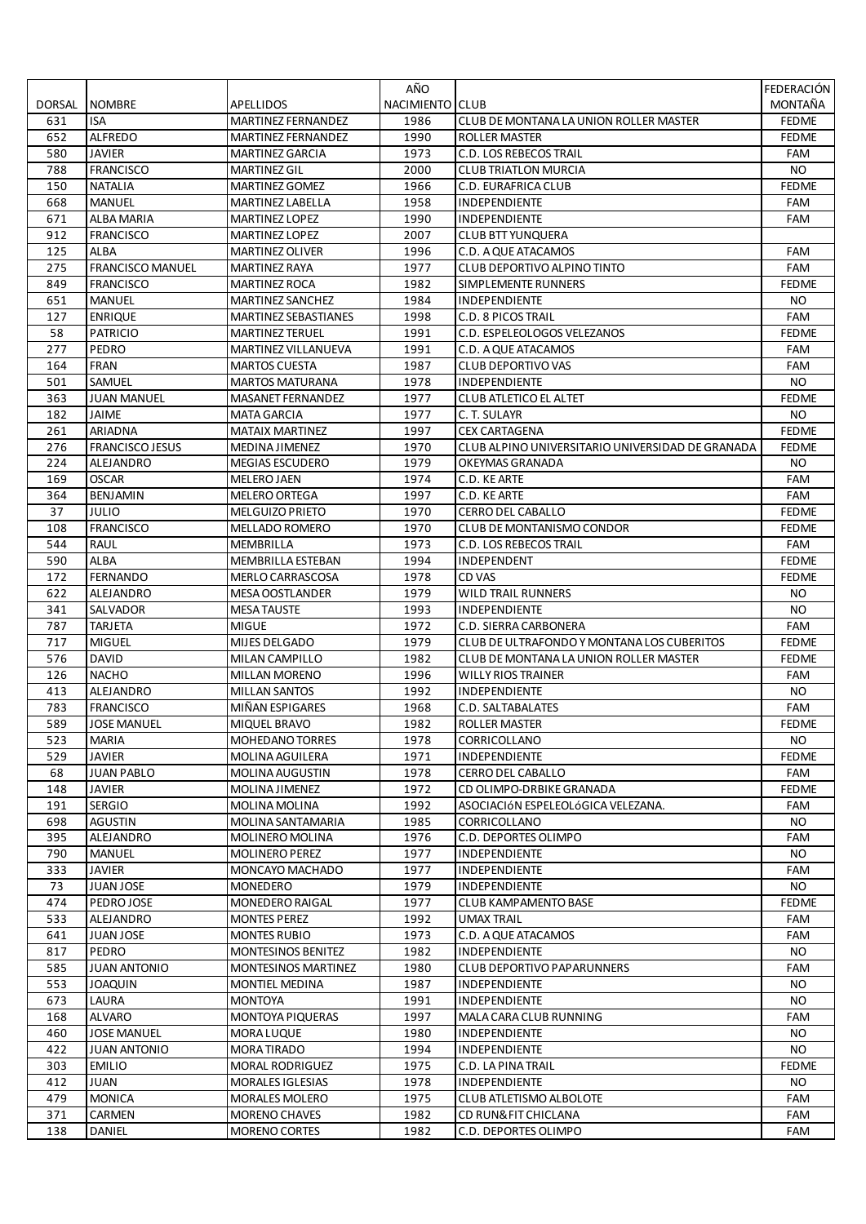|        |                         |                             | AÑO             |                                                  | FEDERACIÓN   |
|--------|-------------------------|-----------------------------|-----------------|--------------------------------------------------|--------------|
| DORSAL | <b>NOMBRE</b>           | APELLIDOS                   | NACIMIENTO CLUB |                                                  | MONTAÑA      |
| 631    | <b>ISA</b>              | <b>MARTINEZ FERNANDEZ</b>   | 1986            | CLUB DE MONTANA LA UNION ROLLER MASTER           | <b>FEDME</b> |
| 652    | <b>ALFREDO</b>          | MARTINEZ FERNANDEZ          | 1990            | ROLLER MASTER                                    | <b>FEDME</b> |
| 580    | <b>JAVIER</b>           | <b>MARTINEZ GARCIA</b>      | 1973            | <b>C.D. LOS REBECOS TRAIL</b>                    | FAM          |
| 788    | <b>FRANCISCO</b>        | <b>MARTINEZ GIL</b>         | 2000            | <b>CLUB TRIATLON MURCIA</b>                      | NO.          |
| 150    | <b>NATALIA</b>          | <b>MARTINEZ GOMEZ</b>       | 1966            | C.D. EURAFRICA CLUB                              | <b>FEDME</b> |
| 668    | <b>MANUEL</b>           | MARTINEZ LABELLA            | 1958            | INDEPENDIENTE                                    | FAM          |
| 671    | ALBA MARIA              | <b>MARTINEZ LOPEZ</b>       | 1990            | INDEPENDIENTE                                    | FAM          |
| 912    | <b>FRANCISCO</b>        | <b>MARTINEZ LOPEZ</b>       | 2007            | <b>CLUB BTT YUNQUERA</b>                         |              |
| 125    | <b>ALBA</b>             | <b>MARTINEZ OLIVER</b>      | 1996            | C.D. A QUE ATACAMOS                              | <b>FAM</b>   |
| 275    | <b>FRANCISCO MANUEL</b> | MARTINEZ RAYA               | 1977            | CLUB DEPORTIVO ALPINO TINTO                      | FAM          |
| 849    | <b>FRANCISCO</b>        | <b>MARTINEZ ROCA</b>        | 1982            | SIMPLEMENTE RUNNERS                              | <b>FEDME</b> |
| 651    | <b>MANUEL</b>           | <b>MARTINEZ SANCHEZ</b>     | 1984            | INDEPENDIENTE                                    | NO.          |
| 127    | <b>ENRIQUE</b>          | <b>MARTINEZ SEBASTIANES</b> | 1998            | <b>C.D. 8 PICOS TRAIL</b>                        | <b>FAM</b>   |
| 58     | <b>PATRICIO</b>         | <b>MARTINEZ TERUEL</b>      | 1991            | C.D. ESPELEOLOGOS VELEZANOS                      | <b>FEDME</b> |
| 277    | PEDRO                   | MARTINEZ VILLANUEVA         | 1991            | C.D. A QUE ATACAMOS                              | FAM          |
| 164    | <b>FRAN</b>             | MARTOS CUESTA               | 1987            | <b>CLUB DEPORTIVO VAS</b>                        | FAM          |
| 501    | SAMUEL                  | <b>MARTOS MATURANA</b>      | 1978            | INDEPENDIENTE                                    | <b>NO</b>    |
| 363    | <b>JUAN MANUEL</b>      | <b>MASANET FERNANDEZ</b>    | 1977            | <b>CLUB ATLETICO EL ALTET</b>                    | <b>FEDME</b> |
| 182    | JAIME                   | <b>MATA GARCIA</b>          | 1977            | C. T. SULAYR                                     | NO.          |
| 261    | ARIADNA                 | <b>MATAIX MARTINEZ</b>      | 1997            | <b>CEX CARTAGENA</b>                             | <b>FEDME</b> |
| 276    | <b>FRANCISCO JESUS</b>  | MEDINA JIMENEZ              | 1970            | CLUB ALPINO UNIVERSITARIO UNIVERSIDAD DE GRANADA | <b>FEDME</b> |
| 224    | ALEJANDRO               | <b>MEGIAS ESCUDERO</b>      | 1979            | OKEYMAS GRANADA                                  | NO.          |
|        |                         | <b>MELERO JAEN</b>          |                 |                                                  |              |
| 169    | OSCAR                   |                             | 1974            | C.D. KE ARTE                                     | FAM          |
| 364    | BENJAMIN                | MELERO ORTEGA               | 1997            | C.D. KE ARTE                                     | FAM          |
| 37     | <b>JULIO</b>            | <b>MELGUIZO PRIETO</b>      | 1970            | CERRO DEL CABALLO                                | <b>FEDME</b> |
| 108    | <b>FRANCISCO</b>        | <b>MELLADO ROMERO</b>       | 1970            | <b>CLUB DE MONTANISMO CONDOR</b>                 | <b>FEDME</b> |
| 544    | <b>RAUL</b>             | MEMBRILLA                   | 1973            | C.D. LOS REBECOS TRAIL                           | FAM          |
| 590    | <b>ALBA</b>             | MEMBRILLA ESTEBAN           | 1994            | INDEPENDENT                                      | <b>FEDME</b> |
| 172    | <b>FERNANDO</b>         | <b>MERLO CARRASCOSA</b>     | 1978            | CD VAS                                           | <b>FEDME</b> |
| 622    | ALEJANDRO               | MESA OOSTLANDER             | 1979            | <b>WILD TRAIL RUNNERS</b>                        | NO.          |
| 341    | SALVADOR                | MESA TAUSTE                 | 1993            | <b>INDEPENDIENTE</b>                             | NO.          |
| 787    | <b>TARJETA</b>          | <b>MIGUE</b>                | 1972            | C.D. SIERRA CARBONERA                            | FAM          |
| 717    | <b>MIGUEL</b>           | MIJES DELGADO               | 1979            | CLUB DE ULTRAFONDO Y MONTANA LOS CUBERITOS       | <b>FEDME</b> |
| 576    | <b>DAVID</b>            | MILAN CAMPILLO              | 1982            | CLUB DE MONTANA LA UNION ROLLER MASTER           | <b>FEDME</b> |
| 126    | <b>NACHO</b>            | MILLAN MORENO               | 1996            | <b>WILLY RIOS TRAINER</b>                        | FAM          |
| 413    | <b>ALEJANDRO</b>        | <b>MILLAN SANTOS</b>        | 1992            | <b>INDEPENDIENTE</b>                             | NO.          |
| 783    | <b>FRANCISCO</b>        | MIÑAN ESPIGARES             | 1968            | C.D. SALTABALATES                                | FAM          |
| 589    | <b>JOSE MANUEL</b>      | MIQUEL BRAVO                | 1982            | <b>ROLLER MASTER</b>                             | <b>FEDME</b> |
| 523    | <b>MARIA</b>            | MOHEDANO TORRES             | 1978            | CORRICOLLANO                                     | NO.          |
| 529    | <b>JAVIER</b>           | <b>MOLINA AGUILERA</b>      | 1971            | <b>INDEPENDIENTE</b>                             | <b>FEDME</b> |
| 68     | <b>JUAN PABLO</b>       | MOLINA AUGUSTIN             | 1978            | <b>CERRO DEL CABALLO</b>                         | FAM          |
| 148    | <b>JAVIER</b>           | MOLINA JIMENEZ              | 1972            | CD OLIMPO-DRBIKE GRANADA                         | <b>FEDME</b> |
| 191    | <b>SERGIO</b>           | MOLINA MOLINA               | 1992            | ASOCIACIÓN ESPELEOLÓGICA VELEZANA.               | FAM          |
| 698    | <b>AGUSTIN</b>          | MOLINA SANTAMARIA           | 1985            | CORRICOLLANO                                     | NO.          |
| 395    | ALEJANDRO               | <b>MOLINERO MOLINA</b>      | 1976            | C.D. DEPORTES OLIMPO                             | FAM          |
| 790    | <b>MANUEL</b>           | <b>MOLINERO PEREZ</b>       | 1977            | INDEPENDIENTE                                    | NO.          |
| 333    | <b>JAVIER</b>           | MONCAYO MACHADO             | 1977            | INDEPENDIENTE                                    | FAM          |
| 73     | JUAN JOSE               | MONEDERO                    | 1979            | INDEPENDIENTE                                    | NO.          |
| 474    | PEDROJOSE               | <b>MONEDERO RAIGAL</b>      | 1977            | <b>CLUB KAMPAMENTO BASE</b>                      | <b>FEDME</b> |
| 533    | ALEJANDRO               | <b>MONTES PEREZ</b>         | 1992            | <b>UMAX TRAIL</b>                                | FAM          |
| 641    | JUAN JOSE               | <b>MONTES RUBIO</b>         | 1973            | C.D. A QUE ATACAMOS                              | FAM          |
| 817    | PEDRO                   | MONTESINOS BENITEZ          | 1982            | INDEPENDIENTE                                    | <b>NO</b>    |
| 585    | <b>JUAN ANTONIO</b>     | <b>MONTESINOS MARTINEZ</b>  | 1980            | <b>CLUB DEPORTIVO PAPARUNNERS</b>                | FAM          |
| 553    | JOAQUIN                 | MONTIEL MEDINA              | 1987            | <b>INDEPENDIENTE</b>                             | NO.          |
| 673    | LAURA                   | <b>MONTOYA</b>              | 1991            | <b>INDEPENDIENTE</b>                             | NO.          |
| 168    | <b>ALVARO</b>           | MONTOYA PIQUERAS            | 1997            | MALA CARA CLUB RUNNING                           | FAM          |
| 460    | <b>JOSE MANUEL</b>      | MORA LUQUE                  | 1980            | INDEPENDIENTE                                    | NO.          |
| 422    | <b>JUAN ANTONIO</b>     | MORA TIRADO                 | 1994            | INDEPENDIENTE                                    | NO.          |
| 303    | <b>EMILIO</b>           | MORAL RODRIGUEZ             | 1975            | C.D. LA PINA TRAIL                               | <b>FEDME</b> |
| 412    | JUAN                    | <b>MORALES IGLESIAS</b>     | 1978            | <b>INDEPENDIENTE</b>                             | NO.          |
| 479    | <b>MONICA</b>           | MORALES MOLERO              | 1975            | CLUB ATLETISMO ALBOLOTE                          | FAM          |
| 371    | CARMEN                  | MORENO CHAVES               | 1982            | CD RUN& FIT CHICLANA                             | FAM          |
| 138    | DANIEL                  | MORENO CORTES               | 1982            | C.D. DEPORTES OLIMPO                             | FAM          |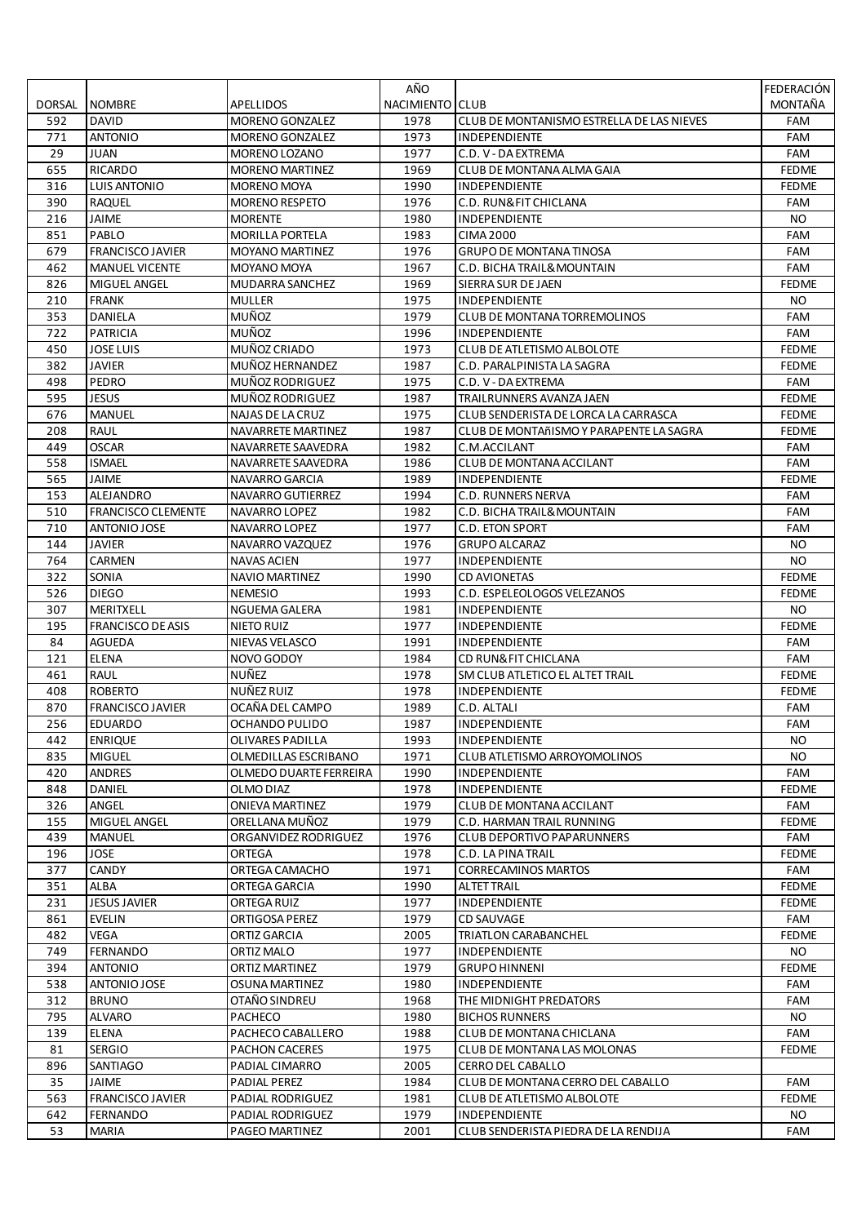|            |                           |                                    | AÑO             |                                                 | FEDERACIÓN          |
|------------|---------------------------|------------------------------------|-----------------|-------------------------------------------------|---------------------|
| DORSAL     | <b>NOMBRE</b>             | APELLIDOS                          | NACIMIENTO CLUB |                                                 | MONTAÑA             |
| 592        | <b>DAVID</b>              | MORENO GONZALEZ                    | 1978            | CLUB DE MONTANISMO ESTRELLA DE LAS NIEVES       | FAM                 |
| 771        | <b>ANTONIO</b>            | <b>MORENO GONZALEZ</b>             | 1973            | INDEPENDIENTE                                   | FAM                 |
| 29         | <b>JUAN</b>               | MORENO LOZANO                      | 1977            | C.D. V - DA EXTREMA                             | <b>FAM</b>          |
| 655        | <b>RICARDO</b>            | <b>MORENO MARTINEZ</b>             | 1969            | CLUB DE MONTANA ALMA GAIA                       | <b>FEDME</b>        |
| 316        | <b>LUIS ANTONIO</b>       | <b>MORENO MOYA</b>                 | 1990            | INDEPENDIENTE                                   | <b>FEDME</b>        |
| 390        | RAQUEL                    | <b>MORENO RESPETO</b>              | 1976            | C.D. RUN& FIT CHICLANA                          | FAM                 |
| 216        | JAIME                     | <b>MORENTE</b>                     | 1980            | <b>INDEPENDIENTE</b>                            | NO.                 |
| 851        | PABLO                     | <b>MORILLA PORTELA</b>             | 1983            | <b>CIMA 2000</b>                                | FAM                 |
| 679        | <b>FRANCISCO JAVIER</b>   | <b>MOYANO MARTINEZ</b>             | 1976            | <b>GRUPO DE MONTANA TINOSA</b>                  | FAM                 |
| 462        | <b>MANUEL VICENTE</b>     | MOYANO MOYA                        | 1967            | C.D. BICHA TRAIL& MOUNTAIN                      | FAM                 |
| 826        | MIGUEL ANGEL              | MUDARRA SANCHEZ                    | 1969            | SIERRA SUR DE JAEN                              | <b>FEDME</b>        |
| 210        | <b>FRANK</b>              | <b>MULLER</b>                      | 1975            | INDEPENDIENTE                                   | NO.                 |
| 353        | DANIELA                   | MUÑOZ                              | 1979            | CLUB DE MONTANA TORREMOLINOS                    | FAM                 |
| 722        | <b>PATRICIA</b>           | MUÑOZ                              | 1996            | <b>INDEPENDIENTE</b>                            | FAM                 |
| 450        | JOSE LUIS                 | MUÑOZ CRIADO                       | 1973            | CLUB DE ATLETISMO ALBOLOTE                      | <b>FEDME</b>        |
| 382        | <b>JAVIER</b>             | MUÑOZ HERNANDEZ                    | 1987            | C.D. PARALPINISTA LA SAGRA                      | <b>FEDME</b>        |
| 498<br>595 | PEDRO<br><b>JESUS</b>     | MUÑOZ RODRIGUEZ<br>MUÑOZ RODRIGUEZ | 1975<br>1987    | C.D. V - DA EXTREMA<br>TRAILRUNNERS AVANZA JAEN | FAM<br><b>FEDME</b> |
| 676        | <b>MANUEL</b>             | NAJAS DE LA CRUZ                   | 1975            | CLUB SENDERISTA DE LORCA LA CARRASCA            | <b>FEDME</b>        |
| 208        | <b>RAUL</b>               | NAVARRETE MARTINEZ                 | 1987            | CLUB DE MONTAñISMO Y PARAPENTE LA SAGRA         | <b>FEDME</b>        |
| 449        | <b>OSCAR</b>              | NAVARRETE SAAVEDRA                 | 1982            | C.M.ACCILANT                                    | FAM                 |
| 558        | <b>ISMAEL</b>             | NAVARRETE SAAVEDRA                 | 1986            | CLUB DE MONTANA ACCILANT                        | FAM                 |
| 565        | JAIME                     | NAVARRO GARCIA                     | 1989            | <b>INDEPENDIENTE</b>                            | <b>FEDME</b>        |
| 153        | ALEJANDRO                 | NAVARRO GUTIERREZ                  | 1994            | <b>C.D. RUNNERS NERVA</b>                       | FAM                 |
| 510        | <b>FRANCISCO CLEMENTE</b> | NAVARRO LOPEZ                      | 1982            | C.D. BICHA TRAIL& MOUNTAIN                      | FAM                 |
| 710        | ANTONIO JOSE              | NAVARRO LOPEZ                      | 1977            | C.D. ETON SPORT                                 | FAM                 |
| 144        | <b>JAVIER</b>             | NAVARRO VAZQUEZ                    | 1976            | <b>GRUPO ALCARAZ</b>                            | NO.                 |
| 764        | CARMEN                    | <b>NAVAS ACIEN</b>                 | 1977            | INDEPENDIENTE                                   | <b>NO</b>           |
| 322        | SONIA                     | NAVIO MARTINEZ                     | 1990            | <b>CD AVIONETAS</b>                             | <b>FEDME</b>        |
| 526        | <b>DIEGO</b>              | NEMESIO                            | 1993            | C.D. ESPELEOLOGOS VELEZANOS                     | <b>FEDME</b>        |
| 307        | MERITXELL                 | NGUEMA GALERA                      | 1981            | <b>INDEPENDIENTE</b>                            | NO.                 |
| 195        | <b>FRANCISCO DE ASIS</b>  | NIETO RUIZ                         | 1977            | <b>INDEPENDIENTE</b>                            | <b>FEDME</b>        |
| 84         | <b>AGUEDA</b>             | NIEVAS VELASCO                     | 1991            | <b>INDEPENDIENTE</b>                            | FAM                 |
| 121        | <b>ELENA</b>              | NOVO GODOY                         | 1984            | CD RUN& FIT CHICLANA                            | FAM                 |
| 461        | <b>RAUL</b>               | NUÑEZ                              | 1978            | SM CLUB ATLETICO EL ALTET TRAIL                 | <b>FEDME</b>        |
| 408        | <b>ROBERTO</b>            | NUÑEZ RUIZ                         | 1978            | <b>INDEPENDIENTE</b>                            | <b>FEDME</b>        |
| 870        | <b>FRANCISCO JAVIER</b>   | OCAÑA DEL CAMPO                    | 1989            | C.D. ALTALI                                     | FAM                 |
| 256        | <b>EDUARDO</b>            | OCHANDO PULIDO                     | 1987            | <b>INDEPENDIENTE</b>                            | <b>FAM</b>          |
| 442        | <b>ENRIQUE</b>            | OLIVARES PADILLA                   | 1993            | INDEPENDIENTE                                   | NO.                 |
| 835        | <b>MIGUEL</b>             | OLMEDILLAS ESCRIBANO               | 1971            | CLUB ATLETISMO ARROYOMOLINOS                    | <b>NO</b>           |
| 420        | ANDRES                    | OLMEDO DUARTE FERREIRA             | 1990            | INDEPENDIENTE                                   | FAM                 |
| 848        | DANIEL                    | OLMO DIAZ                          | 1978            | <b>INDEPENDIENTE</b>                            | <b>FEDME</b>        |
| 326        | ANGEL                     | <b>ONIEVA MARTINEZ</b>             | 1979            | CLUB DE MONTANA ACCILANT                        | FAM                 |
| 155        | MIGUEL ANGEL              | ORELLANA MUÑOZ                     | 1979            | C.D. HARMAN TRAIL RUNNING                       | <b>FEDME</b>        |
| 439        | <b>MANUEL</b>             | ORGANVIDEZ RODRIGUEZ               | 1976            | <b>CLUB DEPORTIVO PAPARUNNERS</b>               | FAM                 |
| 196        | <b>JOSE</b>               | ORTEGA                             | 1978            | C.D. LA PINA TRAIL                              | <b>FEDME</b>        |
| 377        | CANDY                     | ORTEGA CAMACHO                     | 1971            | <b>CORRECAMINOS MARTOS</b>                      | FAM                 |
| 351        | ALBA                      | ORTEGA GARCIA                      | 1990            | <b>ALTET TRAIL</b>                              | <b>FEDME</b>        |
| 231        | <b>JESUS JAVIER</b>       | ORTEGA RUIZ                        | 1977            | INDEPENDIENTE                                   | <b>FEDME</b>        |
| 861        | <b>EVELIN</b>             | ORTIGOSA PEREZ                     | 1979            | <b>CD SAUVAGE</b>                               | FAM                 |
| 482        | VEGA                      | ORTIZ GARCIA                       | 2005            | <b>TRIATLON CARABANCHEL</b>                     | <b>FEDME</b>        |
| 749        | <b>FERNANDO</b>           | ORTIZ MALO                         | 1977            | INDEPENDIENTE                                   | NO.                 |
| 394        | <b>ANTONIO</b>            | ORTIZ MARTINEZ                     | 1979            | <b>GRUPO HINNENI</b>                            | <b>FEDME</b>        |
| 538        | ANTONIO JOSE              | OSUNA MARTINEZ                     | 1980            | <b>INDEPENDIENTE</b>                            | FAM                 |
| 312        | <b>BRUNO</b>              | OTAÑO SINDREU                      | 1968            | THE MIDNIGHT PREDATORS                          | FAM                 |
| 795        | <b>ALVARO</b>             | PACHECO                            | 1980            | <b>BICHOS RUNNERS</b>                           | NO.                 |
| 139        | ELENA                     | PACHECO CABALLERO                  | 1988            | CLUB DE MONTANA CHICLANA                        | FAM                 |
| 81         | <b>SERGIO</b>             | <b>PACHON CACERES</b>              | 1975            | CLUB DE MONTANA LAS MOLONAS                     | <b>FEDME</b>        |
| 896        | SANTIAGO                  | PADIAL CIMARRO                     | 2005            | CERRO DEL CABALLO                               |                     |
| 35         | JAIME                     | PADIAL PEREZ                       | 1984            | CLUB DE MONTANA CERRO DEL CABALLO               | FAM                 |
| 563        | <b>FRANCISCO JAVIER</b>   | PADIAL RODRIGUEZ                   | 1981            | CLUB DE ATLETISMO ALBOLOTE                      | <b>FEDME</b>        |
| 642        | <b>FERNANDO</b>           | PADIAL RODRIGUEZ                   | 1979            | INDEPENDIENTE                                   | NO.                 |
| 53         | MARIA                     | PAGEO MARTINEZ                     | 2001            | CLUB SENDERISTA PIEDRA DE LA RENDIJA            | FAM                 |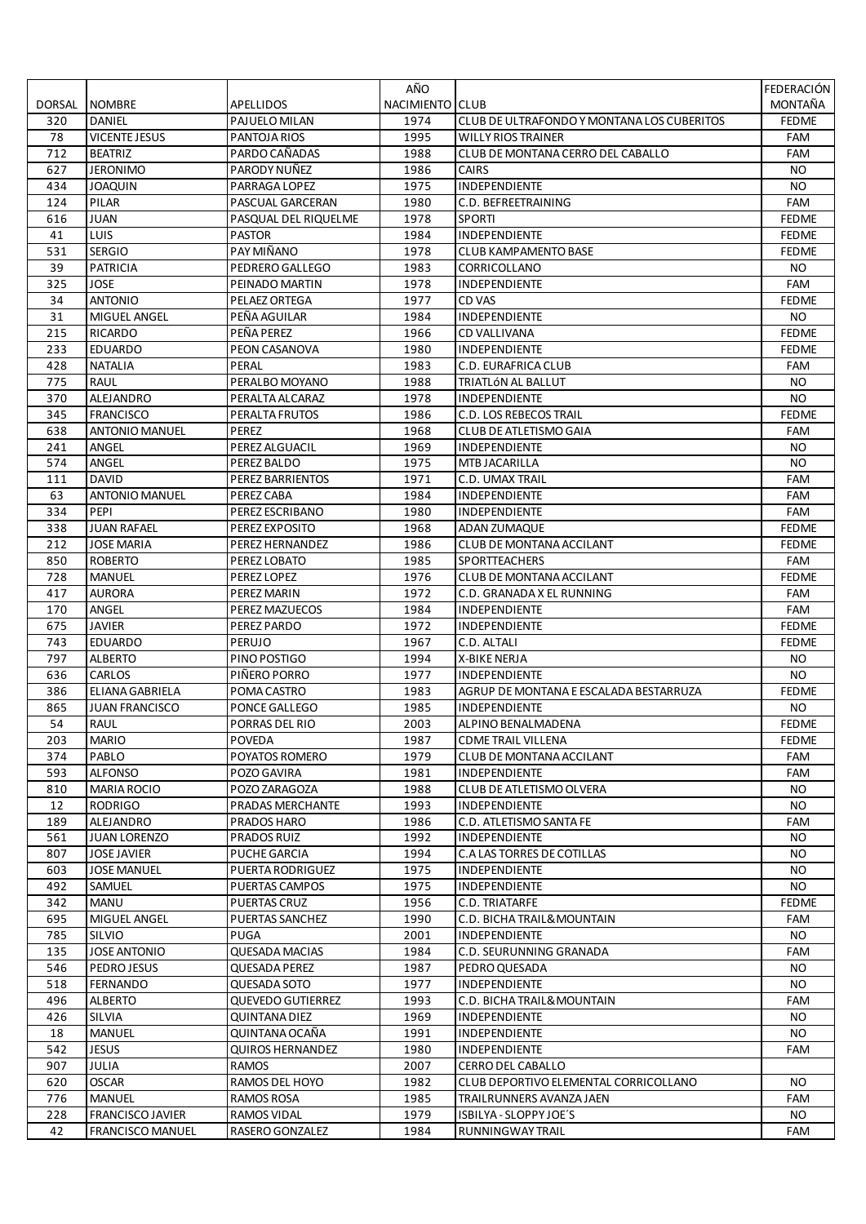|        |                         |                          | AÑO             |                                            | FEDERACIÓN   |
|--------|-------------------------|--------------------------|-----------------|--------------------------------------------|--------------|
| DORSAL | <b>NOMBRE</b>           | APELLIDOS                | NACIMIENTO CLUB |                                            | MONTAÑA      |
| 320    | DANIEL                  | PAJUELO MILAN            | 1974            | CLUB DE ULTRAFONDO Y MONTANA LOS CUBERITOS | <b>FEDME</b> |
| 78     | <b>VICENTE JESUS</b>    | PANTOJA RIOS             | 1995            | <b>WILLY RIOS TRAINER</b>                  | FAM          |
| 712    | <b>BEATRIZ</b>          | PARDO CAÑADAS            | 1988            | CLUB DE MONTANA CERRO DEL CABALLO          | <b>FAM</b>   |
| 627    | <b>JERONIMO</b>         | PARODY NUÑEZ             | 1986            | <b>CAIRS</b>                               | NO.          |
| 434    | <b>JOAQUIN</b>          | PARRAGA LOPEZ            | 1975            | INDEPENDIENTE                              | <b>NO</b>    |
| 124    | PILAR                   | PASCUAL GARCERAN         | 1980            | C.D. BEFREETRAINING                        | FAM          |
| 616    | <b>JUAN</b>             | PASQUAL DEL RIQUELME     | 1978            | <b>SPORTI</b>                              | <b>FEDME</b> |
|        |                         |                          |                 | <b>INDEPENDIENTE</b>                       |              |
| 41     | LUIS                    | <b>PASTOR</b>            | 1984            |                                            | <b>FEDME</b> |
| 531    | <b>SERGIO</b>           | PAY MIÑANO               | 1978            | <b>CLUB KAMPAMENTO BASE</b>                | <b>FEDME</b> |
| 39     | <b>PATRICIA</b>         | PEDRERO GALLEGO          | 1983            | CORRICOLLANO                               | NO.          |
| 325    | JOSE                    | PEINADO MARTIN           | 1978            | INDEPENDIENTE                              | FAM          |
| 34     | <b>ANTONIO</b>          | PELAEZ ORTEGA            | 1977            | CD VAS                                     | <b>FEDME</b> |
| 31     | MIGUEL ANGEL            | PEÑA AGUILAR             | 1984            | INDEPENDIENTE                              | NO.          |
| 215    | RICARDO                 | PEÑA PEREZ               | 1966            | <b>CD VALLIVANA</b>                        | <b>FEDME</b> |
| 233    | <b>EDUARDO</b>          | PEON CASANOVA            | 1980            | INDEPENDIENTE                              | <b>FEDME</b> |
| 428    | <b>NATALIA</b>          | PERAL                    | 1983            | C.D. EURAFRICA CLUB                        | FAM          |
| 775    | <b>RAUL</b>             | PERALBO MOYANO           | 1988            | TRIATLÓN AL BALLUT                         | NO.          |
| 370    | ALEJANDRO               | PERALTA ALCARAZ          | 1978            | INDEPENDIENTE                              | <b>NO</b>    |
| 345    | <b>FRANCISCO</b>        | PERALTA FRUTOS           | 1986            | C.D. LOS REBECOS TRAIL                     | <b>FEDME</b> |
| 638    | <b>ANTONIO MANUEL</b>   | <b>PEREZ</b>             | 1968            | CLUB DE ATLETISMO GAIA                     | <b>FAM</b>   |
| 241    | ANGEL                   | PEREZ ALGUACIL           | 1969            | INDEPENDIENTE                              | <b>NO</b>    |
| 574    | ANGEL                   | PEREZ BALDO              | 1975            | <b>MTB JACARILLA</b>                       | <b>NO</b>    |
| 111    | <b>DAVID</b>            | PEREZ BARRIENTOS         | 1971            | C.D. UMAX TRAIL                            | FAM          |
| 63     | <b>ANTONIO MANUEL</b>   | PEREZ CABA               | 1984            | INDEPENDIENTE                              | FAM          |
| 334    | PEPI                    | PEREZ ESCRIBANO          | 1980            | INDEPENDIENTE                              | FAM          |
| 338    | <b>JUAN RAFAEL</b>      | PEREZ EXPOSITO           | 1968            | ADAN ZUMAQUE                               | <b>FEDME</b> |
| 212    | <b>JOSE MARIA</b>       | PEREZ HERNANDEZ          | 1986            | CLUB DE MONTANA ACCILANT                   | <b>FEDME</b> |
| 850    | <b>ROBERTO</b>          | PEREZ LOBATO             | 1985            | <b>SPORTTEACHERS</b>                       | <b>FAM</b>   |
| 728    | <b>MANUEL</b>           | PEREZ LOPEZ              | 1976            | CLUB DE MONTANA ACCILANT                   | <b>FEDME</b> |
| 417    | <b>AURORA</b>           | PEREZ MARIN              | 1972            | C.D. GRANADA X EL RUNNING                  | FAM          |
| 170    | ANGEL                   |                          | 1984            | <b>INDEPENDIENTE</b>                       | FAM          |
|        |                         | PEREZ MAZUECOS           |                 |                                            |              |
| 675    | JAVIER                  | PEREZ PARDO              | 1972            | INDEPENDIENTE                              | <b>FEDME</b> |
| 743    | <b>EDUARDO</b>          | PERUJO                   | 1967            | C.D. ALTALI                                | <b>FEDME</b> |
| 797    | <b>ALBERTO</b>          | PINO POSTIGO             | 1994            | X-BIKE NERJA                               | <b>NO</b>    |
| 636    | CARLOS                  | PIÑERO PORRO             | 1977            | INDEPENDIENTE                              | NO.          |
| 386    | ELIANA GABRIELA         | POMA CASTRO              | 1983            | AGRUP DE MONTANA E ESCALADA BESTARRUZA     | <b>FEDME</b> |
| 865    | <b>JUAN FRANCISCO</b>   | PONCE GALLEGO            | 1985            | <b>INDEPENDIENTE</b>                       | <b>NO</b>    |
| 54     | <b>RAUL</b>             | <b>PORRAS DEL RIO</b>    | 2003            | ALPINO BENALMADENA                         | <b>FEDME</b> |
| 203    | <b>MARIO</b>            | <b>POVEDA</b>            | 1987            | <b>CDME TRAIL VILLENA</b>                  | <b>FEDME</b> |
| 374    | PABLO                   | POYATOS ROMERO           | 1979            | <b>CLUB DE MONTANA ACCILANT</b>            | FAM          |
| 593    | <b>ALFONSO</b>          | POZO GAVIRA              | 1981            | INDEPENDIENTE                              | FAM          |
| 810    | MARIA ROCIO             | POZO ZARAGOZA            | 1988            | CLUB DE ATLETISMO OLVERA                   | NO.          |
| 12     | <b>RODRIGO</b>          | PRADAS MERCHANTE         | 1993            | INDEPENDIENTE                              | NO.          |
| 189    | ALEJANDRO               | PRADOS HARO              | 1986            | C.D. ATLETISMO SANTA FE                    | <b>FAM</b>   |
| 561    | <b>JUAN LORENZO</b>     | <b>PRADOS RUIZ</b>       | 1992            | INDEPENDIENTE                              | <b>NO</b>    |
| 807    | <b>JOSE JAVIER</b>      | PUCHE GARCIA             | 1994            | C.A LAS TORRES DE COTILLAS                 | NO.          |
| 603    | <b>JOSE MANUEL</b>      | PUERTA RODRIGUEZ         | 1975            | <b>INDEPENDIENTE</b>                       | <b>NO</b>    |
| 492    | <b>SAMUEL</b>           | PUERTAS CAMPOS           | 1975            | <b>INDEPENDIENTE</b>                       | NO.          |
| 342    | <b>MANU</b>             | <b>PUERTAS CRUZ</b>      | 1956            | C.D. TRIATARFE                             | <b>FEDME</b> |
| 695    | MIGUEL ANGEL            | PUERTAS SANCHEZ          | 1990            | C.D. BICHA TRAIL& MOUNTAIN                 | <b>FAM</b>   |
| 785    | SILVIO                  | PUGA                     | 2001            | <b>INDEPENDIENTE</b>                       | <b>NO</b>    |
| 135    | <b>JOSE ANTONIO</b>     | <b>QUESADA MACIAS</b>    | 1984            | C.D. SEURUNNING GRANADA                    | FAM          |
| 546    | PEDROJESUS              | QUESADA PEREZ            | 1987            | PEDRO QUESADA                              | NO.          |
| 518    | <b>FERNANDO</b>         | QUESADA SOTO             | 1977            | <b>INDEPENDIENTE</b>                       | <b>NO</b>    |
| 496    | <b>ALBERTO</b>          | <b>QUEVEDO GUTIERREZ</b> | 1993            | C.D. BICHA TRAIL& MOUNTAIN                 | FAM          |
| 426    | SILVIA                  | QUINTANA DIEZ            | 1969            | INDEPENDIENTE                              | NO.          |
| 18     | <b>MANUEL</b>           | QUINTANA OCAÑA           | 1991            | <b>INDEPENDIENTE</b>                       | NO.          |
| 542    | <b>JESUS</b>            | <b>QUIROS HERNANDEZ</b>  | 1980            | INDEPENDIENTE                              | <b>FAM</b>   |
|        | <b>JULIA</b>            |                          |                 |                                            |              |
| 907    |                         | <b>RAMOS</b>             | 2007            | CERRO DEL CABALLO                          |              |
| 620    | <b>OSCAR</b>            | RAMOS DEL HOYO           | 1982            | CLUB DEPORTIVO ELEMENTAL CORRICOLLANO      | NO.          |
| 776    | MANUEL                  | RAMOS ROSA               | 1985            | TRAILRUNNERS AVANZA JAEN                   | FAM          |
| 228    | FRANCISCO JAVIER        | RAMOS VIDAL              | 1979            | ISBILYA - SLOPPY JOE'S                     | NO.          |
| 42     | <b>FRANCISCO MANUEL</b> | RASERO GONZALEZ          | 1984            | <b>RUNNINGWAY TRAIL</b>                    | FAM          |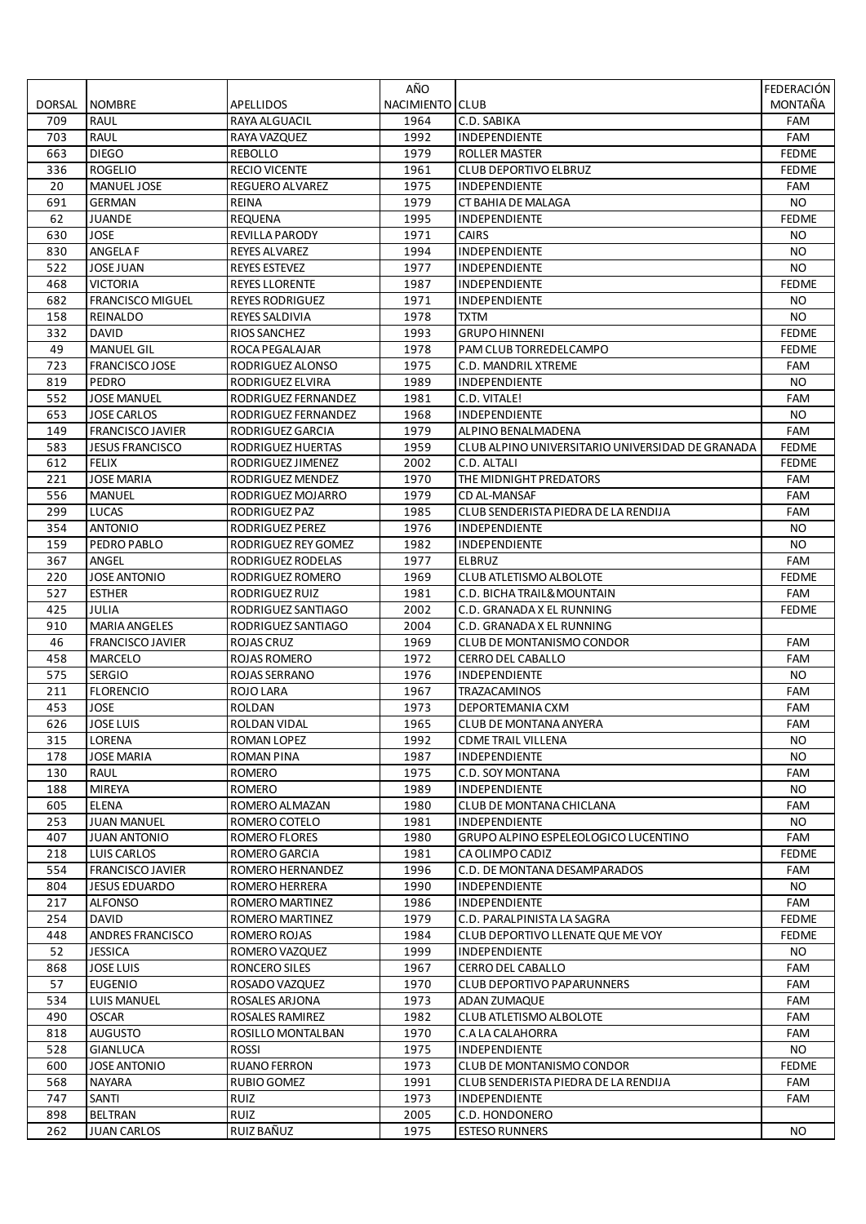|        |                         |                        | AÑO             |                                                  | FEDERACIÓN   |
|--------|-------------------------|------------------------|-----------------|--------------------------------------------------|--------------|
| DORSAL | <b>NOMBRE</b>           | <b>APELLIDOS</b>       | NACIMIENTO CLUB |                                                  | MONTAÑA      |
| 709    | <b>RAUL</b>             | RAYA ALGUACIL          | 1964            | C.D. SABIKA                                      | FAM          |
| 703    | <b>RAUL</b>             | RAYA VAZQUEZ           | 1992            | INDEPENDIENTE                                    | FAM          |
| 663    | <b>DIEGO</b>            | <b>REBOLLO</b>         | 1979            | ROLLER MASTER                                    | <b>FEDME</b> |
| 336    | <b>ROGELIO</b>          | <b>RECIO VICENTE</b>   | 1961            | <b>CLUB DEPORTIVO ELBRUZ</b>                     | <b>FEDME</b> |
| 20     | <b>MANUEL JOSE</b>      | <b>REGUERO ALVAREZ</b> | 1975            | INDEPENDIENTE                                    | <b>FAM</b>   |
| 691    | <b>GERMAN</b>           | REINA                  | 1979            | CT BAHIA DE MALAGA                               | <b>NO</b>    |
| 62     | JUANDE                  | REQUENA                | 1995            | <b>INDEPENDIENTE</b>                             | <b>FEDME</b> |
| 630    | JOSE                    | REVILLA PARODY         | 1971            | <b>CAIRS</b>                                     | NO.          |
| 830    | ANGELA F                | REYES ALVAREZ          | 1994            | INDEPENDIENTE                                    | NO.          |
| 522    | <b>JOSE JUAN</b>        | <b>REYES ESTEVEZ</b>   | 1977            | INDEPENDIENTE                                    | <b>NO</b>    |
| 468    | VICTORIA                | <b>REYES LLORENTE</b>  | 1987            | <b>INDEPENDIENTE</b>                             | <b>FEDME</b> |
| 682    | <b>FRANCISCO MIGUEL</b> | <b>REYES RODRIGUEZ</b> | 1971            | INDEPENDIENTE                                    | NO.          |
| 158    | REINALDO                | REYES SALDIVIA         | 1978            | <b>TXTM</b>                                      | <b>NO</b>    |
| 332    | <b>DAVID</b>            | RIOS SANCHEZ           | 1993            | <b>GRUPO HINNENI</b>                             | <b>FEDME</b> |
| 49     | <b>MANUEL GIL</b>       | ROCA PEGALAJAR         | 1978            | PAM CLUB TORREDELCAMPO                           | <b>FEDME</b> |
| 723    | <b>FRANCISCO JOSE</b>   | RODRIGUEZ ALONSO       | 1975            | C.D. MANDRIL XTREME                              | FAM          |
| 819    | PEDRO                   | RODRIGUEZ ELVIRA       | 1989            | INDEPENDIENTE                                    | NO.          |
| 552    | <b>JOSE MANUEL</b>      | RODRIGUEZ FERNANDEZ    | 1981            | C.D. VITALE!                                     | FAM          |
| 653    | <b>JOSE CARLOS</b>      | RODRIGUEZ FERNANDEZ    | 1968            | INDEPENDIENTE                                    | NO.          |
| 149    | <b>FRANCISCO JAVIER</b> | RODRIGUEZ GARCIA       | 1979            | ALPINO BENALMADENA                               | <b>FAM</b>   |
| 583    | <b>JESUS FRANCISCO</b>  | RODRIGUEZ HUERTAS      | 1959            | CLUB ALPINO UNIVERSITARIO UNIVERSIDAD DE GRANADA | <b>FEDME</b> |
| 612    | <b>FELIX</b>            | RODRIGUEZ JIMENEZ      | 2002            | C.D. ALTALI                                      | <b>FEDME</b> |
| 221    | JOSE MARIA              | RODRIGUEZ MENDEZ       | 1970            | THE MIDNIGHT PREDATORS                           | <b>FAM</b>   |
| 556    | <b>MANUEL</b>           | RODRIGUEZ MOJARRO      | 1979            | <b>CD AL-MANSAF</b>                              | <b>FAM</b>   |
| 299    | LUCAS                   | RODRIGUEZ PAZ          | 1985            | CLUB SENDERISTA PIEDRA DE LA RENDIJA             | FAM          |
| 354    | <b>ANTONIO</b>          | RODRIGUEZ PEREZ        | 1976            | <b>INDEPENDIENTE</b>                             | NO.          |
| 159    | PEDRO PABLO             | RODRIGUEZ REY GOMEZ    | 1982            | INDEPENDIENTE                                    | NO.          |
| 367    | ANGEL                   | RODRIGUEZ RODELAS      | 1977            | <b>ELBRUZ</b>                                    | FAM          |
| 220    | <b>JOSE ANTONIO</b>     | RODRIGUEZ ROMERO       | 1969            | CLUB ATLETISMO ALBOLOTE                          | <b>FEDME</b> |
| 527    | <b>ESTHER</b>           | RODRIGUEZ RUIZ         | 1981            | C.D. BICHA TRAIL& MOUNTAIN                       | FAM          |
| 425    | JULIA                   | RODRIGUEZ SANTIAGO     | 2002            | C.D. GRANADA X EL RUNNING                        | <b>FEDME</b> |
| 910    | <b>MARIA ANGELES</b>    | RODRIGUEZ SANTIAGO     | 2004            | C.D. GRANADA X EL RUNNING                        |              |
| 46     | <b>FRANCISCO JAVIER</b> | ROJAS CRUZ             | 1969            | <b>CLUB DE MONTANISMO CONDOR</b>                 | FAM          |
| 458    | MARCELO                 | ROJAS ROMERO           | 1972            | <b>CERRO DEL CABALLO</b>                         | FAM          |
| 575    | <b>SERGIO</b>           | ROJAS SERRANO          | 1976            | INDEPENDIENTE                                    | NO.          |
| 211    | <b>FLORENCIO</b>        | ROJO LARA              | 1967            | TRAZACAMINOS                                     | FAM          |
| 453    | JOSE                    | <b>ROLDAN</b>          | 1973            | DEPORTEMANIA CXM                                 | FAM          |
| 626    | JOSE LUIS               | ROLDAN VIDAL           | 1965            | <b>CLUB DE MONTANA ANYERA</b>                    | <b>FAM</b>   |
| 315    | LORENA                  | ROMAN LOPEZ            | 1992            | <b>CDME TRAIL VILLENA</b>                        | NO.          |
| 178    | JOSE MARIA              | ROMAN PINA             | 1987            | INDEPENDIENTE                                    | <b>NO</b>    |
| 130    | RAUL                    | <b>ROMERO</b>          | 1975            | C.D. SOY MONTANA                                 | FAM          |
| 188    | <b>MIREYA</b>           | <b>ROMERO</b>          | 1989            | INDEPENDIENTE                                    | NO.          |
| 605    | <b>ELENA</b>            | ROMERO ALMAZAN         | 1980            | CLUB DE MONTANA CHICLANA                         | FAM          |
| 253    | <b>JUAN MANUEL</b>      | ROMERO COTELO          | 1981            | INDEPENDIENTE                                    | NO.          |
| 407    | <b>JUAN ANTONIO</b>     | ROMERO FLORES          | 1980            | <b>GRUPO ALPINO ESPELEOLOGICO LUCENTINO</b>      | FAM          |
| 218    | LUIS CARLOS             | ROMERO GARCIA          | 1981            | CA OLIMPO CADIZ                                  | <b>FEDME</b> |
| 554    | <b>FRANCISCO JAVIER</b> | ROMERO HERNANDEZ       | 1996            | C.D. DE MONTANA DESAMPARADOS                     | FAM          |
| 804    | <b>JESUS EDUARDO</b>    | ROMERO HERRERA         | 1990            | <b>INDEPENDIENTE</b>                             | NO.          |
| 217    | <b>ALFONSO</b>          | ROMERO MARTINEZ        | 1986            | INDEPENDIENTE                                    | FAM          |
| 254    | DAVID                   | ROMERO MARTINEZ        | 1979            | C.D. PARALPINISTA LA SAGRA                       | <b>FEDME</b> |
| 448    | <b>ANDRES FRANCISCO</b> | ROMERO ROJAS           | 1984            | CLUB DEPORTIVO LLENATE QUE ME VOY                | <b>FEDME</b> |
| 52     | <b>JESSICA</b>          | ROMERO VAZQUEZ         | 1999            | INDEPENDIENTE                                    | NO.          |
| 868    | JOSE LUIS               | RONCERO SILES          | 1967            | CERRO DEL CABALLO                                | FAM          |
| 57     | <b>EUGENIO</b>          | ROSADO VAZQUEZ         | 1970            | <b>CLUB DEPORTIVO PAPARUNNERS</b>                | FAM          |
| 534    | <b>LUIS MANUEL</b>      | ROSALES ARJONA         | 1973            | ADAN ZUMAQUE                                     | FAM          |
| 490    | <b>OSCAR</b>            | ROSALES RAMIREZ        | 1982            | CLUB ATLETISMO ALBOLOTE                          | FAM          |
| 818    | <b>AUGUSTO</b>          | ROSILLO MONTALBAN      | 1970            | C.A LA CALAHORRA                                 | FAM          |
| 528    | <b>GIANLUCA</b>         | <b>ROSSI</b>           | 1975            | INDEPENDIENTE                                    | NO.          |
| 600    | <b>JOSE ANTONIO</b>     | <b>RUANO FERRON</b>    | 1973            | <b>CLUB DE MONTANISMO CONDOR</b>                 | <b>FEDME</b> |
| 568    | NAYARA                  | RUBIO GOMEZ            | 1991            | CLUB SENDERISTA PIEDRA DE LA RENDIJA             | FAM          |
| 747    | SANTI                   | RUIZ                   | 1973            | <b>INDEPENDIENTE</b>                             | FAM          |
| 898    | BELTRAN                 | RUIZ                   | 2005            | C.D. HONDONERO                                   |              |
| 262    | <b>JUAN CARLOS</b>      | RUIZ BAÑUZ             | 1975            | <b>ESTESO RUNNERS</b>                            | NO.          |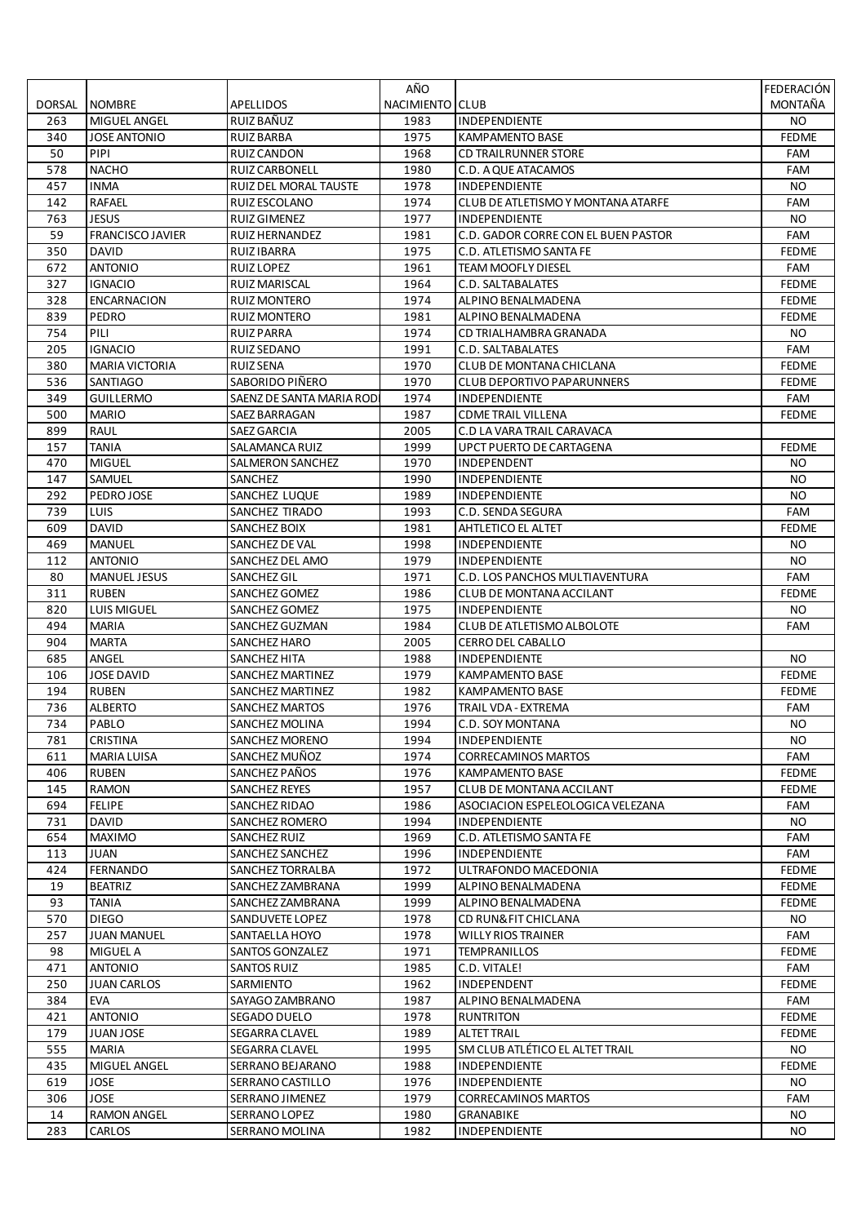|               |                                    |                                 | AÑO             |                                             | FEDERACIÓN   |
|---------------|------------------------------------|---------------------------------|-----------------|---------------------------------------------|--------------|
| <b>DORSAL</b> | <b>NOMBRE</b>                      | APELLIDOS                       | NACIMIENTO CLUB |                                             | MONTAÑA      |
| 263           | MIGUEL ANGEL                       | RUIZ BAÑUZ                      | 1983            | INDEPENDIENTE                               | <b>NO</b>    |
| 340           | <b>JOSE ANTONIO</b>                | <b>RUIZ BARBA</b>               | 1975            | KAMPAMENTO BASE                             | <b>FEDME</b> |
| 50            | PIPI                               | <b>RUIZ CANDON</b>              | 1968            | <b>CD TRAILRUNNER STORE</b>                 | FAM          |
| 578           | <b>NACHO</b>                       | RUIZ CARBONELL                  | 1980            | C.D. A QUE ATACAMOS                         | FAM          |
| 457           | <b>INMA</b>                        | RUIZ DEL MORAL TAUSTE           | 1978            | INDEPENDIENTE                               | NO.          |
| 142           | <b>RAFAEL</b>                      | RUIZ ESCOLANO                   | 1974            | CLUB DE ATLETISMO Y MONTANA ATARFE          | FAM          |
| 763           | JESUS                              | RUIZ GIMENEZ                    | 1977            | <b>INDEPENDIENTE</b>                        | NO.          |
| 59            | <b>FRANCISCO JAVIER</b>            | RUIZ HERNANDEZ                  | 1981            | C.D. GADOR CORRE CON EL BUEN PASTOR         | FAM          |
| 350           | <b>DAVID</b>                       | RUIZ IBARRA                     | 1975            | C.D. ATLETISMO SANTA FE                     | <b>FEDME</b> |
| 672           | <b>ANTONIO</b>                     | RUIZ LOPEZ                      | 1961            | <b>TEAM MOOFLY DIESEL</b>                   | <b>FAM</b>   |
| 327           | <b>IGNACIO</b>                     | RUIZ MARISCAL                   | 1964            | C.D. SALTABALATES                           | <b>FEDME</b> |
| 328           | <b>ENCARNACION</b>                 | <b>RUIZ MONTERO</b>             | 1974            | ALPINO BENALMADENA                          | <b>FEDME</b> |
| 839           | PEDRO                              | <b>RUIZ MONTERO</b>             | 1981            | ALPINO BENALMADENA                          | <b>FEDME</b> |
| 754           | PILI                               | RUIZ PARRA                      | 1974            | CD TRIALHAMBRA GRANADA                      | NO.          |
| 205           | <b>IGNACIO</b>                     | RUIZ SEDANO                     | 1991            | C.D. SALTABALATES                           | FAM          |
| 380           | <b>MARIA VICTORIA</b>              | <b>RUIZ SENA</b>                | 1970            | CLUB DE MONTANA CHICLANA                    | <b>FEDME</b> |
| 536           | <b>SANTIAGO</b>                    | SABORIDO PIÑERO                 | 1970            | <b>CLUB DEPORTIVO PAPARUNNERS</b>           | <b>FEDME</b> |
| 349           | <b>GUILLERMO</b>                   | SAENZ DE SANTA MARIA ROD        | 1974            | INDEPENDIENTE                               | FAM          |
| 500           | <b>MARIO</b>                       | SAEZ BARRAGAN                   | 1987            | <b>CDME TRAIL VILLENA</b>                   | <b>FEDME</b> |
| 899           | <b>RAUL</b>                        | <b>SAEZ GARCIA</b>              | 2005            | C.D LA VARA TRAIL CARAVACA                  |              |
| 157           | <b>TANIA</b>                       | SALAMANCA RUIZ                  | 1999            | <b>UPCT PUERTO DE CARTAGENA</b>             | <b>FEDME</b> |
| 470           | <b>MIGUEL</b>                      | SALMERON SANCHEZ                | 1970            | INDEPENDENT                                 | NO.          |
| 147           | SAMUEL                             | SANCHEZ                         | 1990            | <b>INDEPENDIENTE</b>                        | NO.          |
| 292           | PEDRO JOSE                         | SANCHEZ LUQUE                   | 1989            | <b>INDEPENDIENTE</b>                        | <b>NO</b>    |
| 739           | <b>LUIS</b>                        | SANCHEZ TIRADO                  | 1993            | C.D. SENDA SEGURA                           | FAM          |
| 609           | <b>DAVID</b>                       | SANCHEZ BOIX                    | 1981            | <b>AHTLETICO EL ALTET</b>                   | <b>FEDME</b> |
| 469           | <b>MANUEL</b>                      | SANCHEZ DE VAL                  | 1998            | INDEPENDIENTE                               | NO.          |
| 112           | <b>ANTONIO</b>                     | SANCHEZ DEL AMO                 | 1979            | INDEPENDIENTE                               | <b>NO</b>    |
| 80            | <b>MANUEL JESUS</b>                | SANCHEZ GIL                     | 1971            | C.D. LOS PANCHOS MULTIAVENTURA              | FAM          |
| 311           | <b>RUBEN</b>                       | SANCHEZ GOMEZ                   | 1986            | CLUB DE MONTANA ACCILANT                    | <b>FEDME</b> |
| 820<br>494    | <b>LUIS MIGUEL</b><br><b>MARIA</b> | SANCHEZ GOMEZ<br>SANCHEZ GUZMAN | 1975<br>1984    | INDEPENDIENTE<br>CLUB DE ATLETISMO ALBOLOTE | NO.<br>FAM   |
| 904           | <b>MARTA</b>                       | SANCHEZ HARO                    | 2005            | <b>CERRO DEL CABALLO</b>                    |              |
| 685           | ANGEL                              | SANCHEZ HITA                    | 1988            | INDEPENDIENTE                               | NO.          |
| 106           | <b>JOSE DAVID</b>                  | <b>SANCHEZ MARTINEZ</b>         | 1979            | <b>KAMPAMENTO BASE</b>                      | <b>FEDME</b> |
| 194           | <b>RUBEN</b>                       | SANCHEZ MARTINEZ                | 1982            | KAMPAMENTO BASE                             | <b>FEDME</b> |
| 736           | <b>ALBERTO</b>                     | SANCHEZ MARTOS                  | 1976            | TRAIL VDA - EXTREMA                         | FAM          |
| 734           | PABLO                              | SANCHEZ MOLINA                  | 1994            | C.D. SOY MONTANA                            | NO.          |
| 781           | <b>CRISTINA</b>                    | SANCHEZ MORENO                  | 1994            | <b>INDEPENDIENTE</b>                        | NO.          |
| 611           | <b>MARIA LUISA</b>                 | SANCHEZ MUÑOZ                   | 1974            | <b>CORRECAMINOS MARTOS</b>                  | FAM          |
| 406           | <b>RUBEN</b>                       | SANCHEZ PAÑOS                   | 1976            | <b>KAMPAMENTO BASE</b>                      | <b>FEDME</b> |
| 145           | <b>RAMON</b>                       | <b>SANCHEZ REYES</b>            | 1957            | <b>CLUB DE MONTANA ACCILANT</b>             | <b>FEDME</b> |
| 694           | <b>FELIPE</b>                      | SANCHEZ RIDAO                   | 1986            | ASOCIACION ESPELEOLOGICA VELEZANA           | FAM          |
| 731           | DAVID                              | SANCHEZ ROMERO                  | 1994            | INDEPENDIENTE                               | NO.          |
| 654           | <b>MAXIMO</b>                      | SANCHEZ RUIZ                    | 1969            | C.D. ATLETISMO SANTA FE                     | FAM          |
| 113           | JUAN                               | SANCHEZ SANCHEZ                 | 1996            | <b>INDEPENDIENTE</b>                        | FAM          |
| 424           | <b>FERNANDO</b>                    | SANCHEZ TORRALBA                | 1972            | ULTRAFONDO MACEDONIA                        | <b>FEDME</b> |
| 19            | <b>BEATRIZ</b>                     | SANCHEZ ZAMBRANA                | 1999            | ALPINO BENALMADENA                          | <b>FEDME</b> |
| 93            | <b>TANIA</b>                       | SANCHEZ ZAMBRANA                | 1999            | ALPINO BENALMADENA                          | <b>FEDME</b> |
| 570           | <b>DIEGO</b>                       | SANDUVETE LOPEZ                 | 1978            | CD RUN& FIT CHICLANA                        | NO.          |
| 257           | <b>JUAN MANUEL</b>                 | SANTAELLA HOYO                  | 1978            | <b>WILLY RIOS TRAINER</b>                   | FAM          |
| 98            | MIGUEL A                           | SANTOS GONZALEZ                 | 1971            | TEMPRANILLOS                                | <b>FEDME</b> |
| 471           | <b>ANTONIO</b>                     | SANTOS RUIZ                     | 1985            | C.D. VITALE!                                | FAM          |
| 250           | <b>JUAN CARLOS</b>                 | SARMIENTO                       | 1962            | INDEPENDENT                                 | <b>FEDME</b> |
| 384           | <b>EVA</b>                         | SAYAGO ZAMBRANO                 | 1987            | ALPINO BENALMADENA                          | FAM          |
| 421           | <b>ANTONIO</b>                     | SEGADO DUELO                    | 1978            | <b>RUNTRITON</b>                            | <b>FEDME</b> |
| 179           | <b>JUAN JOSE</b>                   | SEGARRA CLAVEL                  | 1989            | <b>ALTET TRAIL</b>                          | <b>FEDME</b> |
| 555           | <b>MARIA</b>                       | <b>SEGARRA CLAVEL</b>           | 1995            | SM CLUB ATLÉTICO EL ALTET TRAIL             | NO.          |
| 435           | MIGUEL ANGEL                       | SERRANO BEJARANO                | 1988            | INDEPENDIENTE                               | <b>FEDME</b> |
| 619           | JOSE                               | SERRANO CASTILLO                | 1976            | INDEPENDIENTE                               | NO.          |
| 306           | JOSE                               | SERRANO JIMENEZ                 | 1979            | <b>CORRECAMINOS MARTOS</b>                  | FAM          |
| 14            | <b>RAMON ANGEL</b>                 | SERRANO LOPEZ                   | 1980            | GRANABIKE                                   | NO.          |
| 283           | CARLOS                             | SERRANO MOLINA                  | 1982            | INDEPENDIENTE                               | NO.          |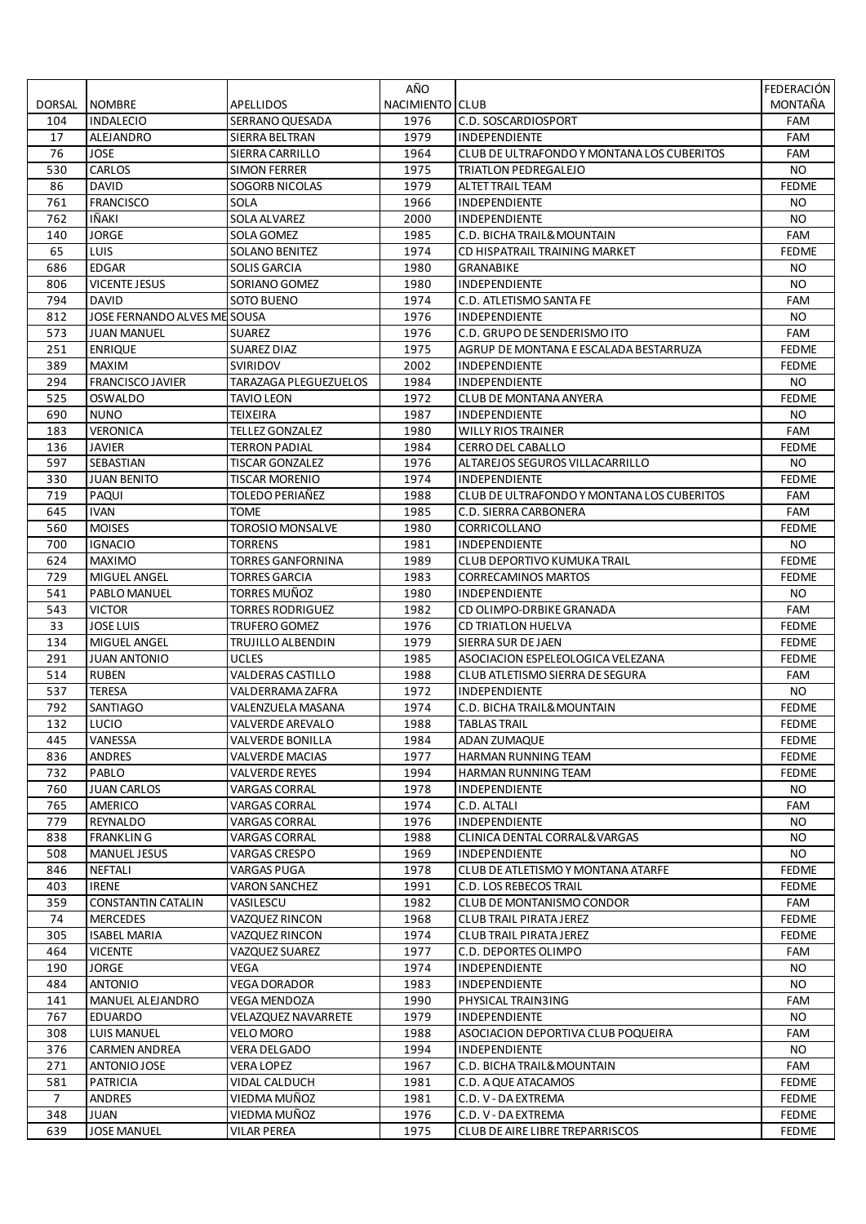|        |                              |                                   | AÑO             |                                            | FEDERACIÓN   |
|--------|------------------------------|-----------------------------------|-----------------|--------------------------------------------|--------------|
| DORSAL | <b>NOMBRE</b>                | APELLIDOS                         | NACIMIENTO CLUB |                                            | MONTAÑA      |
| 104    | <b>INDALECIO</b>             | SERRANO QUESADA                   | 1976            | C.D. SOSCARDIOSPORT                        | <b>FAM</b>   |
| 17     | ALEJANDRO                    | SIERRA BELTRAN                    | 1979            | <b>INDEPENDIENTE</b>                       | FAM          |
| 76     | <b>JOSE</b>                  | SIERRA CARRILLO                   | 1964            | CLUB DE ULTRAFONDO Y MONTANA LOS CUBERITOS | FAM          |
| 530    | CARLOS                       | <b>SIMON FERRER</b>               | 1975            | TRIATLON PEDREGALEJO                       | NO.          |
| 86     | <b>DAVID</b>                 | <b>SOGORB NICOLAS</b>             | 1979            | ALTET TRAIL TEAM                           | <b>FEDME</b> |
| 761    | <b>FRANCISCO</b>             | <b>SOLA</b>                       | 1966            | INDEPENDIENTE                              | NO.          |
| 762    | <b>IÑAKI</b>                 | <b>SOLA ALVAREZ</b>               | 2000            | INDEPENDIENTE                              | <b>NO</b>    |
| 140    | <b>JORGE</b>                 | SOLA GOMEZ                        | 1985            | C.D. BICHA TRAIL& MOUNTAIN                 | FAM          |
| 65     | LUIS                         | <b>SOLANO BENITEZ</b>             | 1974            | CD HISPATRAIL TRAINING MARKET              | <b>FEDME</b> |
| 686    | <b>EDGAR</b>                 | <b>SOLIS GARCIA</b>               | 1980            | GRANABIKE                                  | <b>NO</b>    |
| 806    | <b>VICENTE JESUS</b>         | SORIANO GOMEZ                     | 1980            | INDEPENDIENTE                              | NO.          |
| 794    | <b>DAVID</b>                 | <b>SOTO BUENO</b>                 | 1974            | C.D. ATLETISMO SANTA FE                    | FAM          |
| 812    | JOSE FERNANDO ALVES ME SOUSA |                                   | 1976            | INDEPENDIENTE                              | NO.          |
| 573    | <b>JUAN MANUEL</b>           | <b>SUAREZ</b>                     | 1976            | C.D. GRUPO DE SENDERISMO ITO               | FAM          |
| 251    | <b>ENRIQUE</b>               | <b>SUAREZ DIAZ</b>                | 1975            | AGRUP DE MONTANA E ESCALADA BESTARRUZA     | <b>FEDME</b> |
| 389    | MAXIM                        | <b>SVIRIDOV</b>                   | 2002            | <b>INDEPENDIENTE</b>                       | <b>FEDME</b> |
| 294    | <b>FRANCISCO JAVIER</b>      | <b>TARAZAGA PLEGUEZUELOS</b>      | 1984            | INDEPENDIENTE                              | NO.          |
| 525    | <b>OSWALDO</b>               | <b>TAVIO LEON</b>                 | 1972            | <b>CLUB DE MONTANA ANYERA</b>              | <b>FEDME</b> |
| 690    | <b>NUNO</b>                  | <b>TEIXEIRA</b>                   | 1987            | INDEPENDIENTE                              | NO.          |
| 183    | <b>VERONICA</b>              | <b>TELLEZ GONZALEZ</b>            | 1980            | <b>WILLY RIOS TRAINER</b>                  | FAM          |
| 136    | <b>JAVIER</b>                | <b>TERRON PADIAL</b>              | 1984            | <b>CERRO DEL CABALLO</b>                   | <b>FEDME</b> |
| 597    | SEBASTIAN                    | <b>TISCAR GONZALEZ</b>            | 1976            | ALTAREJOS SEGUROS VILLACARRILLO            | <b>NO</b>    |
|        |                              |                                   |                 |                                            |              |
| 330    | JUAN BENITO                  | TISCAR MORENIO<br>TOLEDO PERIAÑEZ | 1974            | <b>INDEPENDIENTE</b>                       | <b>FEDME</b> |
| 719    | PAQUI                        |                                   | 1988            | CLUB DE ULTRAFONDO Y MONTANA LOS CUBERITOS | FAM          |
| 645    | <b>IVAN</b>                  | <b>TOME</b>                       | 1985            | C.D. SIERRA CARBONERA                      | FAM          |
| 560    | <b>MOISES</b>                | <b>TOROSIO MONSALVE</b>           | 1980            | CORRICOLLANO                               | <b>FEDME</b> |
| 700    | <b>IGNACIO</b>               | <b>TORRENS</b>                    | 1981            | INDEPENDIENTE                              | NO.          |
| 624    | <b>MAXIMO</b>                | <b>TORRES GANFORNINA</b>          | 1989            | <b>CLUB DEPORTIVO KUMUKA TRAIL</b>         | <b>FEDME</b> |
| 729    | MIGUEL ANGEL                 | <b>TORRES GARCIA</b>              | 1983            | <b>CORRECAMINOS MARTOS</b>                 | <b>FEDME</b> |
| 541    | PABLO MANUEL                 | TORRES MUÑOZ                      | 1980            | INDEPENDIENTE                              | NO.          |
| 543    | <b>VICTOR</b>                | <b>TORRES RODRIGUEZ</b>           | 1982            | CD OLIMPO-DRBIKE GRANADA                   | FAM          |
| 33     | <b>JOSE LUIS</b>             | <b>TRUFERO GOMEZ</b>              | 1976            | <b>CD TRIATLON HUELVA</b>                  | <b>FEDME</b> |
| 134    | MIGUEL ANGEL                 | TRUJILLO ALBENDIN                 | 1979            | SIERRA SUR DE JAEN                         | <b>FEDME</b> |
| 291    | <b>JUAN ANTONIO</b>          | <b>UCLES</b>                      | 1985            | ASOCIACION ESPELEOLOGICA VELEZANA          | <b>FEDME</b> |
| 514    | <b>RUBEN</b>                 | VALDERAS CASTILLO                 | 1988            | CLUB ATLETISMO SIERRA DE SEGURA            | FAM          |
| 537    | <b>TERESA</b>                | VALDERRAMA ZAFRA                  | 1972            | <b>INDEPENDIENTE</b>                       | <b>NO</b>    |
| 792    | SANTIAGO                     | VALENZUELA MASANA                 | 1974            | C.D. BICHA TRAIL& MOUNTAIN                 | <b>FEDME</b> |
| 132    | LUCIO                        | VALVERDE AREVALO                  | 1988            | <b>TABLAS TRAIL</b>                        | <b>FEDME</b> |
| 445    | VANESSA                      | <b>VALVERDE BONILLA</b>           | 1984            | <b>ADAN ZUMAQUE</b>                        | <b>FEDME</b> |
| 836    | ANDRES                       | VALVERDE MACIAS                   | 1977            | HARMAN RUNNING TEAM                        | <b>FEDME</b> |
| 732    | PABLO                        | <b>VALVERDE REYES</b>             | 1994            | HARMAN RUNNING TEAM                        | <b>FEDME</b> |
| 760    | <b>JUAN CARLOS</b>           | <b>VARGAS CORRAL</b>              | 1978            | INDEPENDIENTE                              | NO.          |
| 765    | AMERICO                      | VARGAS CORRAL                     | 1974            | C.D. ALTALI                                | FAM          |
| 779    | REYNALDO                     | <b>VARGAS CORRAL</b>              | 1976            | <b>INDEPENDIENTE</b>                       | NO.          |
| 838    | <b>FRANKLING</b>             | <b>VARGAS CORRAL</b>              | 1988            | CLINICA DENTAL CORRAL& VARGAS              | NO.          |
| 508    | <b>MANUEL JESUS</b>          | VARGAS CRESPO                     | 1969            | <b>INDEPENDIENTE</b>                       | NO.          |
| 846    | <b>NEFTALI</b>               | VARGAS PUGA                       | 1978            | CLUB DE ATLETISMO Y MONTANA ATARFE         | <b>FEDME</b> |
| 403    | <b>IRENE</b>                 | <b>VARON SANCHEZ</b>              | 1991            | <b>C.D. LOS REBECOS TRAIL</b>              | <b>FEDME</b> |
| 359    | <b>CONSTANTIN CATALIN</b>    | VASILESCU                         | 1982            | <b>CLUB DE MONTANISMO CONDOR</b>           | FAM          |
| 74     | <b>MERCEDES</b>              | VAZQUEZ RINCON                    | 1968            | <b>CLUB TRAIL PIRATA JEREZ</b>             | <b>FEDME</b> |
| 305    | <b>ISABEL MARIA</b>          | VAZQUEZ RINCON                    | 1974            | <b>CLUB TRAIL PIRATA JEREZ</b>             | <b>FEDME</b> |
| 464    | <b>VICENTE</b>               | VAZQUEZ SUAREZ                    | 1977            | C.D. DEPORTES OLIMPO                       | FAM          |
| 190    | JORGE                        | VEGA                              | 1974            | <b>INDEPENDIENTE</b>                       | NO.          |
| 484    | <b>ANTONIO</b>               | <b>VEGA DORADOR</b>               | 1983            | <b>INDEPENDIENTE</b>                       | NO.          |
| 141    | MANUEL ALEJANDRO             | VEGA MENDOZA                      | 1990            | PHYSICAL TRAIN3ING                         | FAM          |
| 767    | <b>EDUARDO</b>               | VELAZQUEZ NAVARRETE               | 1979            | INDEPENDIENTE                              | NO.          |
| 308    | <b>LUIS MANUEL</b>           | VELO MORO                         | 1988            | ASOCIACION DEPORTIVA CLUB POQUEIRA         | FAM          |
| 376    | <b>CARMEN ANDREA</b>         | <b>VERA DELGADO</b>               | 1994            | INDEPENDIENTE                              | NO.          |
| 271    | ANTONIO JOSE                 | <b>VERA LOPEZ</b>                 | 1967            | C.D. BICHA TRAIL& MOUNTAIN                 | FAM          |
| 581    | <b>PATRICIA</b>              | VIDAL CALDUCH                     | 1981            | C.D. A QUE ATACAMOS                        | <b>FEDME</b> |
| 7      | ANDRES                       | VIEDMA MUNOZ                      | 1981            | C.D. V - DA EXTREMA                        | <b>FEDME</b> |
| 348    | JUAN                         | VIEDMA MUÑOZ                      | 1976            | C.D. V - DA EXTREMA                        | <b>FEDME</b> |
| 639    | <b>JOSE MANUEL</b>           | <b>VILAR PEREA</b>                | 1975            | CLUB DE AIRE LIBRE TREPARRISCOS            | <b>FEDME</b> |